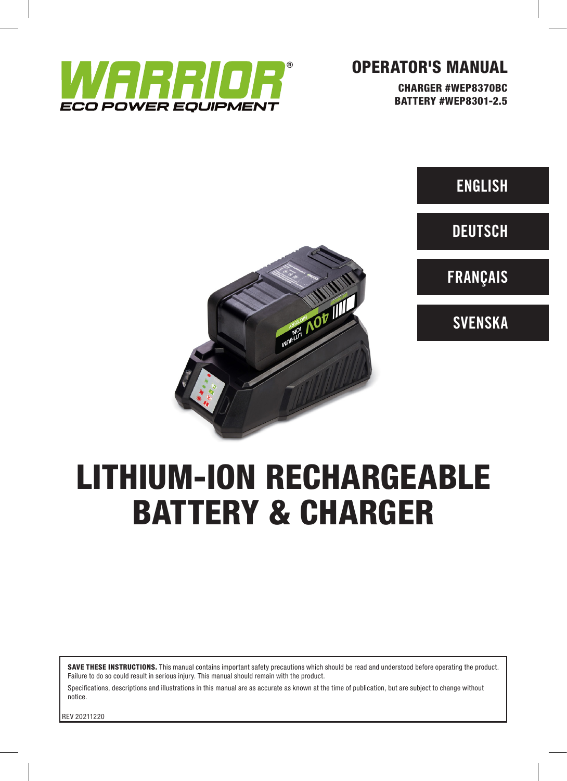

# OPERATOR'S MANUAL

CHARGER #WEP8370BC BATTERY #WEP8301-2.5

**ENGLISH** 

**DEUTSCH** 

FRANÇAIS





**Maritim AOB IIII** 

SAVE THESE INSTRUCTIONS. This manual contains important safety precautions which should be read and understood before operating the product. Failure to do so could result in serious injury. This manual should remain with the product.

Specifications, descriptions and illustrations in this manual are as accurate as known at the time of publication, but are subject to change without notice.

REV 20211220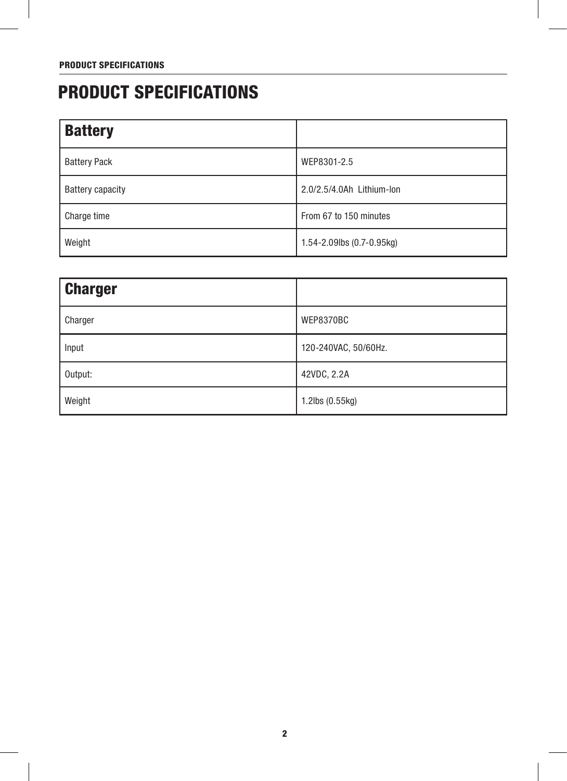# PRODUCT SPECIFICATIONS

| <b>Battery</b>          |                                     |
|-------------------------|-------------------------------------|
| <b>Battery Pack</b>     | WEP8301-2.5                         |
| <b>Battery capacity</b> | 2.0/2.5/4.0Ah Lithium-lon           |
| Charge time             | From 67 to 150 minutes              |
| Weight                  | $1.54 - 2.09$ lbs $(0.7 - 0.95$ kg) |

| <b>Charger</b> |                      |
|----------------|----------------------|
| Charger        | WEP8370BC            |
| Input          | 120-240VAC, 50/60Hz. |
| Output:        | 42VDC, 2.2A          |
| Weight         | 1.2lbs (0.55kg)      |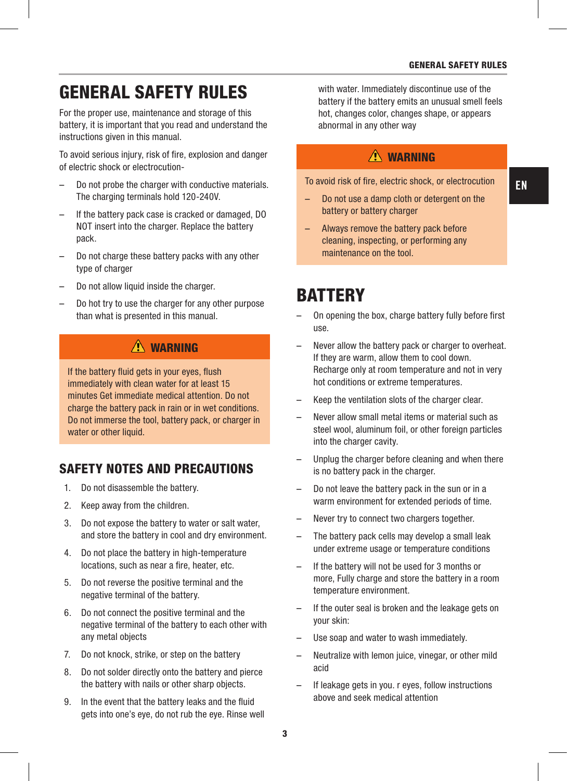EN

# GENERAL SAFETY RULES

For the proper use, maintenance and storage of this battery, it is important that you read and understand the instructions given in this manual.

To avoid serious injury, risk of fire, explosion and danger of electric shock or electrocution-

- Do not probe the charger with conductive materials. The charging terminals hold 120-240V.
- If the battery pack case is cracked or damaged, DO NOT insert into the charger. Replace the battery pack.
- Do not charge these battery packs with any other type of charger
- Do not allow liquid inside the charger.
- Do hot try to use the charger for any other purpose than what is presented in this manual.

### $\Lambda$  WARNING

If the battery fluid gets in your eyes, flush immediately with clean water for at least 15 minutes Get immediate medical attention. Do not charge the battery pack in rain or in wet conditions. Do not immerse the tool, battery pack, or charger in water or other liquid.

### SAFETY NOTES AND PRECAUTIONS

- 1. Do not disassemble the battery.
- 2. Keep away from the children.
- 3. Do not expose the battery to water or salt water, and store the battery in cool and dry environment.
- 4. Do not place the battery in high-temperature locations, such as near a fire, heater, etc.
- 5. Do not reverse the positive terminal and the negative terminal of the battery.
- 6. Do not connect the positive terminal and the negative terminal of the battery to each other with any metal objects
- 7. Do not knock, strike, or step on the battery
- 8. Do not solder directly onto the battery and pierce the battery with nails or other sharp objects.
- 9. In the event that the battery leaks and the fluid gets into one's eye, do not rub the eye. Rinse well

with water. Immediately discontinue use of the battery if the battery emits an unusual smell feels hot, changes color, changes shape, or appears abnormal in any other way

### $\triangle$  WARNING

To avoid risk of fire, electric shock, or electrocution

- Do not use a damp cloth or detergent on the battery or battery charger
- Always remove the battery pack before cleaning, inspecting, or performing any maintenance on the tool.

# **BATTERY**

- On opening the box, charge battery fully before first use.
- Never allow the battery pack or charger to overheat. If they are warm, allow them to cool down. Recharge only at room temperature and not in very hot conditions or extreme temperatures.
- Keep the ventilation slots of the charger clear.
- Never allow small metal items or material such as steel wool, aluminum foil, or other foreign particles into the charger cavity.
- Unplug the charger before cleaning and when there is no battery pack in the charger.
- Do not leave the battery pack in the sun or in a warm environment for extended periods of time.
- Never try to connect two chargers together.
- The battery pack cells may develop a small leak under extreme usage or temperature conditions
- If the battery will not be used for 3 months or more, Fully charge and store the battery in a room temperature environment.
- If the outer seal is broken and the leakage gets on your skin:
- Use soap and water to wash immediately.
- Neutralize with lemon juice, vinegar, or other mild acid
- If leakage gets in you. r eyes, follow instructions above and seek medical attention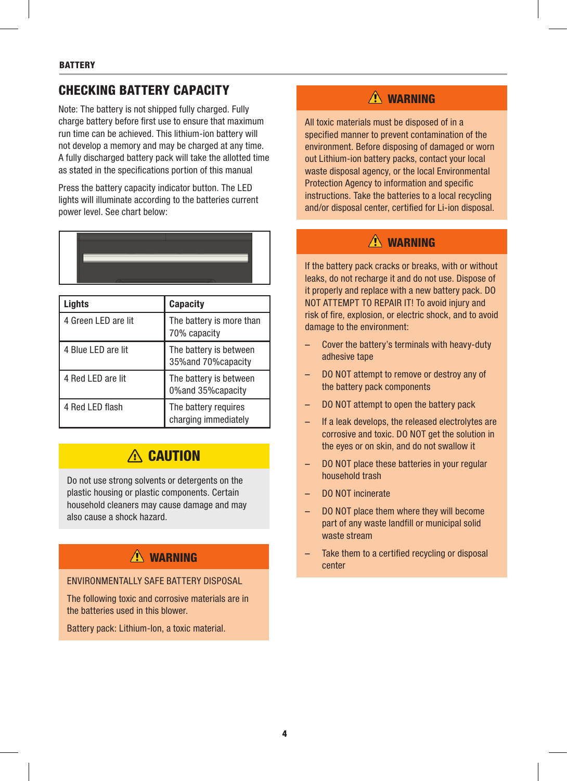### CHECKING BATTERY CAPACITY

Note: The battery is not shipped fully charged. Fully charge battery before first use to ensure that maximum run time can be achieved. This lithium-ion battery will not develop a memory and may be charged at any time. A fully discharged battery pack will take the allotted time as stated in the specifications portion of this manual

Press the battery capacity indicator button. The LED lights will illuminate according to the batteries current power level. See chart below:

| Lights              | Capacity                                       |
|---------------------|------------------------------------------------|
| 4 Green LED are lit | The battery is more than<br>70% capacity       |
| 4 Blue LED are lit  | The battery is between<br>35% and 70% capacity |
| 4 Red LED are lit   | The battery is between<br>0% and 35% capacity  |
| 4 Red LED flash     | The battery requires<br>charging immediately   |

# A CAUTION

Do not use strong solvents or detergents on the plastic housing or plastic components. Certain household cleaners may cause damage and may also cause a shock hazard.

# $\Lambda$  WARNING

#### ENVIRONMENTALLY SAFE BATTERY DISPOSAL

The following toxic and corrosive materials are in the batteries used in this blower.

Battery pack: Lithium-lon, a toxic material.

# A WARNING

All toxic materials must be disposed of in a specified manner to prevent contamination of the environment. Before disposing of damaged or worn out Lithium-ion battery packs, contact your local waste disposal agency, or the local Environmental Protection Agency to information and specific instructions. Take the batteries to a local recycling and/or disposal center, certified for Li-ion disposal.

### $\Lambda$  WARNING

If the battery pack cracks or breaks, with or without leaks, do not recharge it and do not use. Dispose of it properly and replace with a new battery pack. DO NOT ATTEMPT TO REPAIR IT! To avoid injury and risk of fire, explosion, or electric shock, and to avoid damage to the environment:

- Cover the battery's terminals with heavy-duty adhesive tape
- DO NOT attempt to remove or destroy any of the battery pack components
- DO NOT attempt to open the battery pack
- If a leak develops, the released electrolytes are corrosive and toxic. DO NOT get the solution in the eyes or on skin, and do not swallow it
- DO NOT place these batteries in your regular household trash
- DO NOT incinerate
- DO NOT place them where they will become part of any waste landfill or municipal solid waste stream
- Take them to a certified recycling or disposal center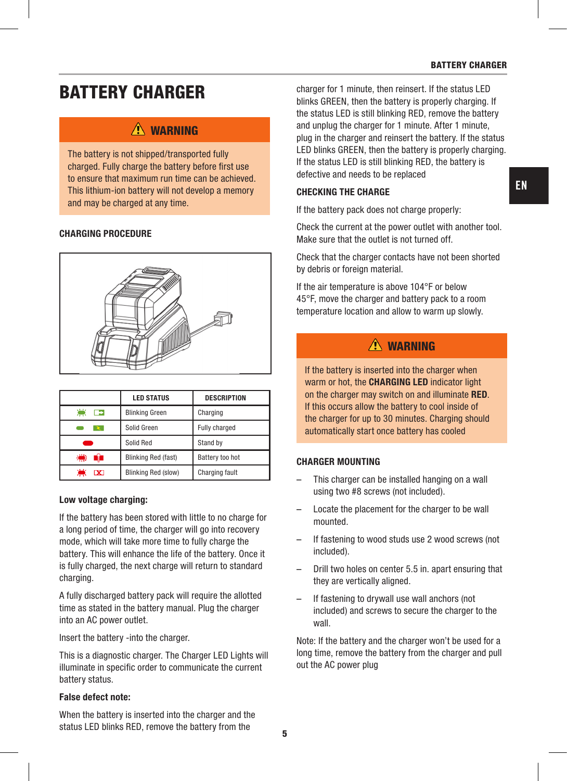#### BATTERY CHARGER

# BATTERY CHARGER

### $\triangle$  WARNING

The battery is not shipped/transported fully charged. Fully charge the battery before first use to ensure that maximum run time can be achieved. This lithium-ion battery will not develop a memory and may be charged at any time.

#### CHARGING PROCEDURE



|                  | <b>LED STATUS</b>          | <b>DESCRIPTION</b> |
|------------------|----------------------------|--------------------|
| 凛<br>►           | <b>Blinking Green</b>      | Charging           |
|                  | Solid Green                | Fully charged      |
|                  | Solid Red                  | Stand by           |
| ☀                | <b>Blinking Red (fast)</b> | Battery too hot    |
| ۳<br>$\mathbf x$ | Blinking Red (slow)        | Charging fault     |

#### Low voltage charging:

If the battery has been stored with little to no charge for a long period of time, the charger will go into recovery mode, which will take more time to fully charge the battery. This will enhance the life of the battery. Once it is fully charged, the next charge will return to standard charging.

A fully discharged battery pack will require the allotted time as stated in the battery manual. Plug the charger into an AC power outlet.

Insert the battery -into the charger.

This is a diagnostic charger. The Charger LED Lights will illuminate in specific order to communicate the current battery status.

#### False defect note:

When the battery is inserted into the charger and the status LED blinks RED, remove the battery from the

charger for 1 minute, then reinsert. If the status LED blinks GREEN, then the battery is properly charging. If the status LED is still blinking RED, remove the battery and unplug the charger for 1 minute. After 1 minute, plug in the charger and reinsert the battery. If the status LED blinks GREEN, then the battery is properly charging. If the status LED is still blinking RED, the battery is defective and needs to be replaced

#### CHECKING THE CHARGE

If the battery pack does not charge properly:

Check the current at the power outlet with another tool. Make sure that the outlet is not turned off.

Check that the charger contacts have not been shorted by debris or foreign material.

If the air temperature is above 104°F or below 45°F, move the charger and battery pack to a room temperature location and allow to warm up slowly.

### $\triangle$  WARNING

If the battery is inserted into the charger when warm or hot, the **CHARGING LED** indicator light on the charger may switch on and illuminate RED. If this occurs allow the battery to cool inside of the charger for up to 30 minutes. Charging should automatically start once battery has cooled

#### CHARGER MOUNTING

- This charger can be installed hanging on a wall using two #8 screws (not included).
- Locate the placement for the charger to be wall mounted.
- If fastening to wood studs use 2 wood screws (not included).
- Drill two holes on center 5.5 in. apart ensuring that they are vertically aligned.
- If fastening to drywall use wall anchors (not included) and screws to secure the charger to the wall.

Note: If the battery and the charger won't be used for a long time, remove the battery from the charger and pull out the AC power plug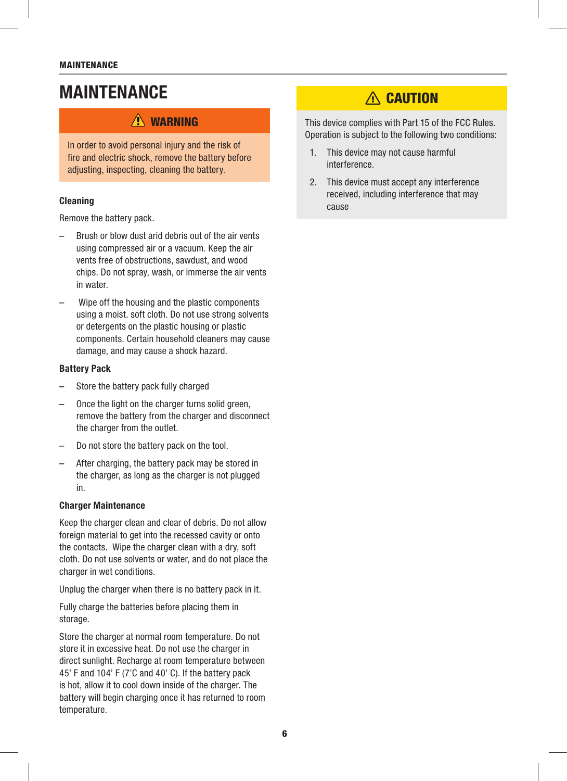# MAINTENANCE

### $\bigwedge$  WARNING

In order to avoid personal injury and the risk of fire and electric shock, remove the battery before adjusting, inspecting, cleaning the battery.

#### Cleaning

Remove the battery pack.

- Brush or blow dust arid debris out of the air vents using compressed air or a vacuum. Keep the air vents free of obstructions, sawdust, and wood chips. Do not spray, wash, or immerse the air vents in water.
- Wipe off the housing and the plastic components using a moist. soft cloth. Do not use strong solvents or detergents on the plastic housing or plastic components. Certain household cleaners may cause damage, and may cause a shock hazard.

#### Battery Pack

- Store the battery pack fully charged
- Once the light on the charger turns solid green, remove the battery from the charger and disconnect the charger from the outlet.
- Do not store the battery pack on the tool.
- After charging, the battery pack may be stored in the charger, as long as the charger is not plugged in.

#### Charger Maintenance

Keep the charger clean and clear of debris. Do not allow foreign material to get into the recessed cavity or onto the contacts. Wipe the charger clean with a dry, soft cloth. Do not use solvents or water, and do not place the charger in wet conditions.

Unplug the charger when there is no battery pack in it.

Fully charge the batteries before placing them in storage.

Store the charger at normal room temperature. Do not store it in excessive heat. Do not use the charger in direct sunlight. Recharge at room temperature between 45' F and 104' F (7'C and 40' C). If the battery pack is hot, allow it to cool down inside of the charger. The battery will begin charging once it has returned to room temperature.

# A CAUTION

This device complies with Part 15 of the FCC Rules. Operation is subject to the following two conditions:

- 1. This device may not cause harmful interference.
- 2. This device must accept any interference received, including interference that may cause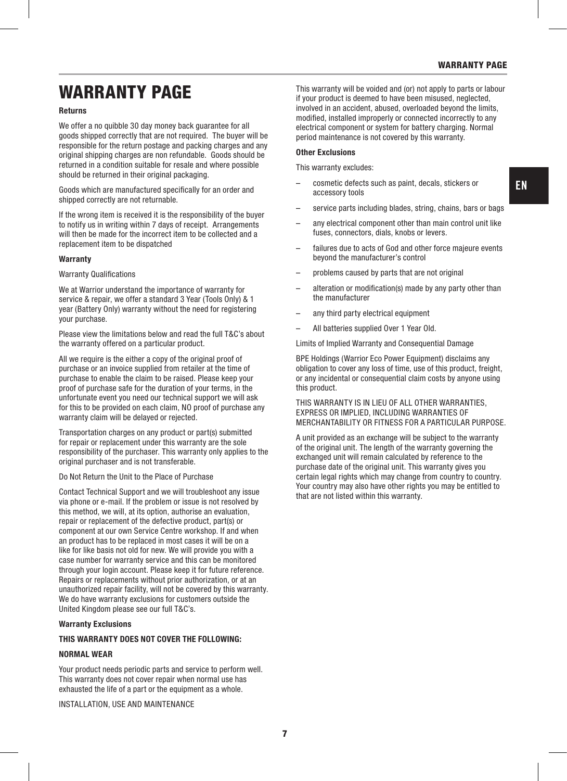EN

# WARRANTY PAGE

#### Returns

We offer a no quibble 30 day money back quarantee for all goods shipped correctly that are not required. The buyer will be responsible for the return postage and packing charges and any original shipping charges are non refundable. Goods should be returned in a condition suitable for resale and where possible should be returned in their original packaging.

Goods which are manufactured specifically for an order and shipped correctly are not returnable.

If the wrong item is received it is the responsibility of the buyer to notify us in writing within 7 days of receipt. Arrangements will then be made for the incorrect item to be collected and a replacement item to be dispatched

#### **Warranty**

#### Warranty Qualifications

We at Warrior understand the importance of warranty for service & repair, we offer a standard 3 Year (Tools Only) & 1 year (Battery Only) warranty without the need for registering your purchase.

Please view the limitations below and read the full T&C's about the warranty offered on a particular product.

All we require is the either a copy of the original proof of purchase or an invoice supplied from retailer at the time of purchase to enable the claim to be raised. Please keep your proof of purchase safe for the duration of your terms, in the unfortunate event you need our technical support we will ask for this to be provided on each claim, NO proof of purchase any warranty claim will be delayed or rejected.

Transportation charges on any product or part(s) submitted for repair or replacement under this warranty are the sole responsibility of the purchaser. This warranty only applies to the original purchaser and is not transferable.

#### Do Not Return the Unit to the Place of Purchase

Contact Technical Support and we will troubleshoot any issue via phone or e-mail. If the problem or issue is not resolved by this method, we will, at its option, authorise an evaluation, repair or replacement of the defective product, part(s) or component at our own Service Centre workshop. If and when an product has to be replaced in most cases it will be on a like for like basis not old for new. We will provide you with a case number for warranty service and this can be monitored through your login account. Please keep it for future reference. Repairs or replacements without prior authorization, or at an unauthorized repair facility, will not be covered by this warranty. We do have warranty exclusions for customers outside the United Kingdom please see our full T&C's.

#### Warranty Exclusions

#### THIS WARRANTY DOES NOT COVER THE FOLLOWING:

#### NORMAL WEAR

Your product needs periodic parts and service to perform well. This warranty does not cover repair when normal use has exhausted the life of a part or the equipment as a whole.

INSTALLATION, USE AND MAINTENANCE

This warranty will be voided and (or) not apply to parts or labour if your product is deemed to have been misused, neglected, involved in an accident, abused, overloaded beyond the limits, modified, installed improperly or connected incorrectly to any electrical component or system for battery charging. Normal period maintenance is not covered by this warranty.

#### Other Exclusions

This warranty excludes:

- cosmetic defects such as paint, decals, stickers or accessory tools
- service parts including blades, string, chains, bars or bags
- any electrical component other than main control unit like fuses, connectors, dials, knobs or levers.
- failures due to acts of God and other force majeure events beyond the manufacturer's control
- problems caused by parts that are not original
- alteration or modification(s) made by any party other than the manufacturer
- any third party electrical equipment
- All batteries supplied Over 1 Year Old.

Limits of Implied Warranty and Consequential Damage

BPE Holdings (Warrior Eco Power Equipment) disclaims any obligation to cover any loss of time, use of this product, freight, or any incidental or consequential claim costs by anyone using this product.

THIS WARRANTY IS IN LIEU OF ALL OTHER WARRANTIES, EXPRESS OR IMPLIED, INCLUDING WARRANTIES OF MERCHANTABILITY OR FITNESS FOR A PARTICULAR PURPOSE.

A unit provided as an exchange will be subject to the warranty of the original unit. The length of the warranty governing the exchanged unit will remain calculated by reference to the purchase date of the original unit. This warranty gives you certain legal rights which may change from country to country. Your country may also have other rights you may be entitled to that are not listed within this warranty.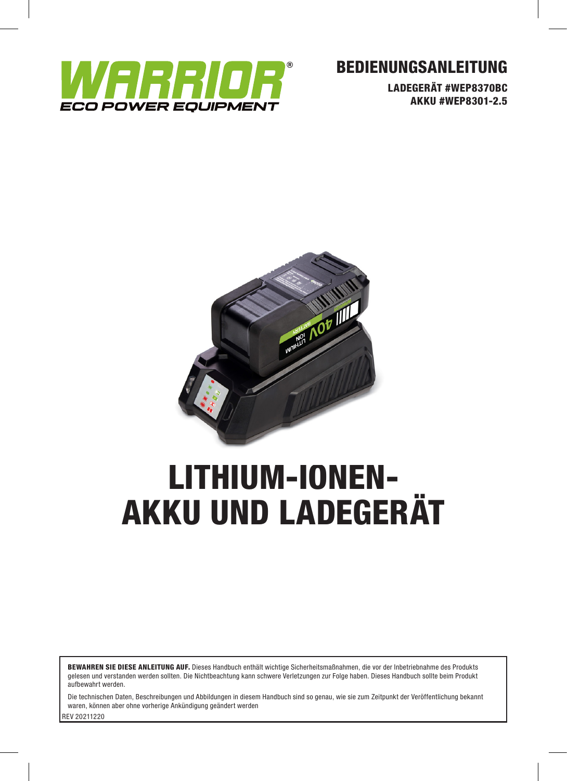

# BEDIENUNGSANLEITUNG

LADEGERÄT #WEP8370BC AKKU #WEP8301-2.5



# LITHIUM-IONEN-AKKU UND LADEGERÄT

BEWAHREN SIE DIESE ANLEITUNG AUF. Dieses Handbuch enthält wichtige Sicherheitsmaßnahmen, die vor der Inbetriebnahme des Produkts gelesen und verstanden werden sollten. Die Nichtbeachtung kann schwere Verletzungen zur Folge haben. Dieses Handbuch sollte beim Produkt aufbewahrt werden.

REV 20211220 Die technischen Daten, Beschreibungen und Abbildungen in diesem Handbuch sind so genau, wie sie zum Zeitpunkt der Veröffentlichung bekannt waren, können aber ohne vorherige Ankündigung geändert werden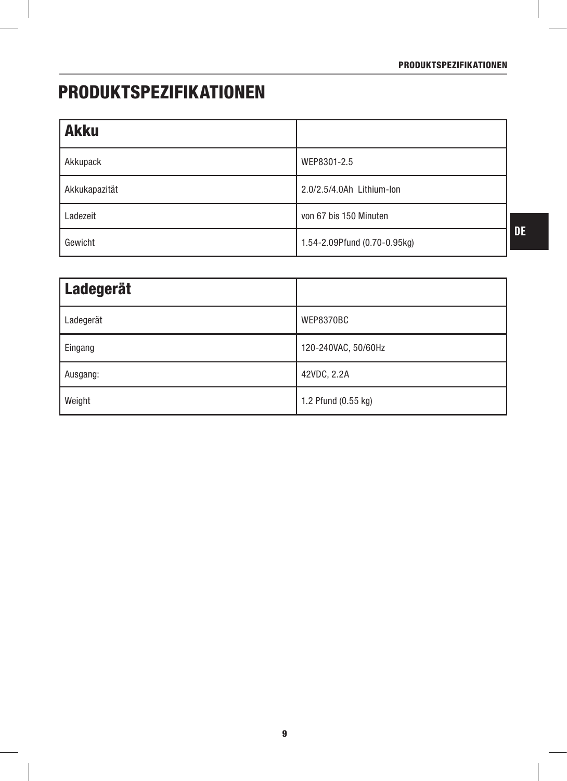# PRODUKTSPEZIFIKATIONEN

| <b>Akku</b>   |                              |
|---------------|------------------------------|
| Akkupack      | WEP8301-2.5                  |
| Akkukapazität | 2.0/2.5/4.0Ah Lithium-lon    |
| Ladezeit      | von 67 bis 150 Minuten       |
| Gewicht       | 1.54-2.09Pfund (0.70-0.95kg) |

| Ladegerät |                     |
|-----------|---------------------|
| Ladegerät | WEP8370BC           |
| Eingang   | 120-240VAC, 50/60Hz |
| Ausgang:  | 42VDC, 2.2A         |
| Weight    | 1.2 Pfund (0.55 kg) |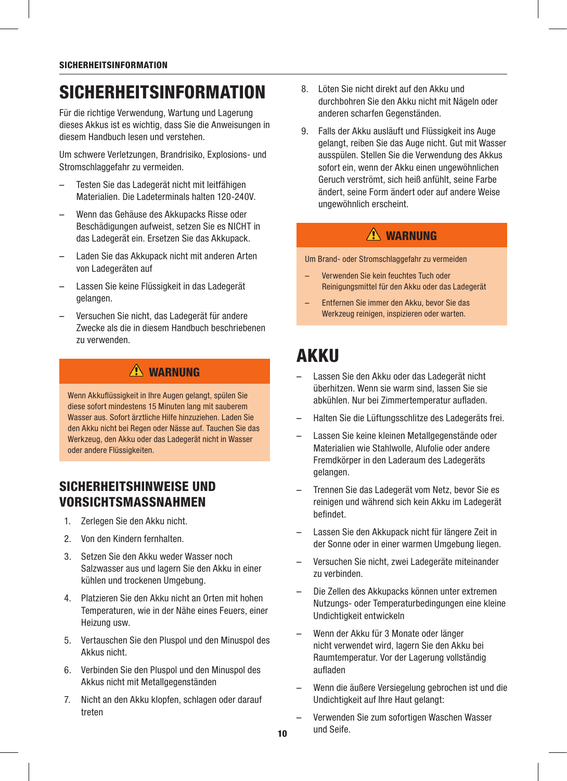# **SICHERHEITSINFORMATION**

Für die richtige Verwendung, Wartung und Lagerung dieses Akkus ist es wichtig, dass Sie die Anweisungen in diesem Handbuch lesen und verstehen.

Um schwere Verletzungen, Brandrisiko, Explosions- und Stromschlaggefahr zu vermeiden.

- Testen Sie das Ladegerät nicht mit leitfähigen Materialien. Die Ladeterminals halten 120-240V.
- Wenn das Gehäuse des Akkupacks Risse oder Beschädigungen aufweist, setzen Sie es NICHT in das Ladegerät ein. Ersetzen Sie das Akkupack.
- Laden Sie das Akkupack nicht mit anderen Arten von Ladegeräten auf
- Lassen Sie keine Flüssigkeit in das Ladegerät gelangen.
- Versuchen Sie nicht, das Ladegerät für andere Zwecke als die in diesem Handbuch beschriebenen zu verwenden.

# **A** WARNUNG

Wenn Akkuflüssigkeit in Ihre Augen gelangt, spülen Sie diese sofort mindestens 15 Minuten lang mit sauberem Wasser aus. Sofort ärztliche Hilfe hinzuziehen. Laden Sie den Akku nicht bei Regen oder Nässe auf. Tauchen Sie das Werkzeug, den Akku oder das Ladegerät nicht in Wasser oder andere Flüssigkeiten.

### SICHERHEITSHINWEISE UND VORSICHTSMASSNAHMEN

- 1. Zerlegen Sie den Akku nicht.
- 2. Von den Kindern fernhalten.
- 3. Setzen Sie den Akku weder Wasser noch Salzwasser aus und lagern Sie den Akku in einer kühlen und trockenen Umgebung.
- 4. Platzieren Sie den Akku nicht an Orten mit hohen Temperaturen, wie in der Nähe eines Feuers, einer Heizung usw.
- 5. Vertauschen Sie den Pluspol und den Minuspol des Akkus nicht.
- 6. Verbinden Sie den Pluspol und den Minuspol des Akkus nicht mit Metallgegenständen
- 7. Nicht an den Akku klopfen, schlagen oder darauf treten
- 8. Löten Sie nicht direkt auf den Akku und durchbohren Sie den Akku nicht mit Nägeln oder anderen scharfen Gegenständen.
- 9. Falls der Akku ausläuft und Flüssigkeit ins Auge gelangt, reiben Sie das Auge nicht. Gut mit Wasser ausspülen. Stellen Sie die Verwendung des Akkus sofort ein, wenn der Akku einen ungewöhnlichen Geruch verströmt, sich heiß anfühlt, seine Farbe ändert, seine Form ändert oder auf andere Weise ungewöhnlich erscheint.

### $\triangle$  WARNIING

Um Brand- oder Stromschlaggefahr zu vermeiden

- Verwenden Sie kein feuchtes Tuch oder Reinigungsmittel für den Akku oder das Ladegerät
- Entfernen Sie immer den Akku, bevor Sie das Werkzeug reinigen, inspizieren oder warten.

# AKKU

- Lassen Sie den Akku oder das Ladegerät nicht überhitzen. Wenn sie warm sind, lassen Sie sie abkühlen. Nur bei Zimmertemperatur aufladen.
- Halten Sie die Lüftungsschlitze des Ladegeräts frei.
- Lassen Sie keine kleinen Metallgegenstände oder Materialien wie Stahlwolle, Alufolie oder andere Fremdkörper in den Laderaum des Ladegeräts gelangen.
- Trennen Sie das Ladegerät vom Netz, bevor Sie es reinigen und während sich kein Akku im Ladegerät befindet.
- Lassen Sie den Akkupack nicht für längere Zeit in der Sonne oder in einer warmen Umgebung liegen.
- Versuchen Sie nicht, zwei Ladegeräte miteinander zu verbinden.
- Die Zellen des Akkupacks können unter extremen Nutzungs- oder Temperaturbedingungen eine kleine Undichtigkeit entwickeln
- Wenn der Akku für 3 Monate oder länger nicht verwendet wird, lagern Sie den Akku bei Raumtemperatur. Vor der Lagerung vollständig aufladen
- Wenn die äußere Versiegelung gebrochen ist und die Undichtigkeit auf Ihre Haut gelangt:
- Verwenden Sie zum sofortigen Waschen Wasser und Seife.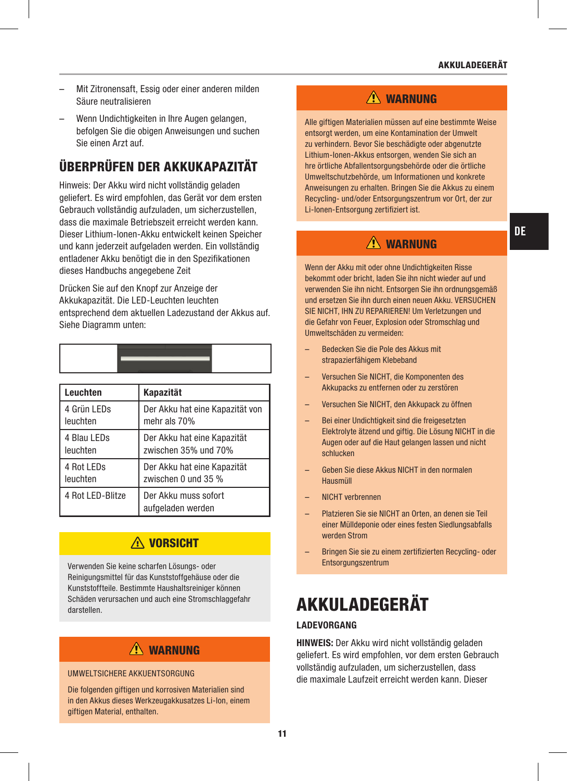- Mit Zitronensaft, Essig oder einer anderen milden Säure neutralisieren
- Wenn Undichtigkeiten in Ihre Augen gelangen, befolgen Sie die obigen Anweisungen und suchen Sie einen Arzt auf.

# ÜBERPRÜFEN DER AKKUKAPAZITÄT

Hinweis: Der Akku wird nicht vollständig geladen geliefert. Es wird empfohlen, das Gerät vor dem ersten Gebrauch vollständig aufzuladen, um sicherzustellen, dass die maximale Betriebszeit erreicht werden kann. Dieser Lithium-Ionen-Akku entwickelt keinen Speicher und kann jederzeit aufgeladen werden. Ein vollständig entladener Akku benötigt die in den Spezifikationen dieses Handbuchs angegebene Zeit

Drücken Sie auf den Knopf zur Anzeige der Akkukapazität. Die LED-Leuchten leuchten entsprechend dem aktuellen Ladezustand der Akkus auf. Siehe Diagramm unten:

| Leuchten                | <b>Kapazität</b>                                |  |
|-------------------------|-------------------------------------------------|--|
| 4 Grün LEDs<br>leuchten | Der Akku hat eine Kapazität von<br>mehr als 70% |  |
| $D11$ FD.               | Deal Aldred Letter Holland 17 - 2011 11:12      |  |

| 4 Blau LEDs<br>leuchten | Der Akku hat eine Kapazität<br>  zwischen 35% und 70% |
|-------------------------|-------------------------------------------------------|
| 4 Rot LEDs<br>leuchten  | Der Akku hat eine Kapazität<br>zwischen 0 und 35 %    |
| 4 Rot LED-Blitze        | Der Akku muss sofort<br>aufgeladen werden             |

### **A VORSICHT**

Verwenden Sie keine scharfen Lösungs- oder Reinigungsmittel für das Kunststoffgehäuse oder die Kunststoffteile. Bestimmte Haushaltsreiniger können Schäden verursachen und auch eine Stromschlaggefahr darstellen.

### $\triangle$  WARNUNG

#### UMWELTSICHERE AKKUENTSORGUNG

Die folgenden giftigen und korrosiven Materialien sind in den Akkus dieses Werkzeugakkusatzes Li-Ion, einem giftigen Material, enthalten.

### $\triangle$  WARNUNG

Alle giftigen Materialien müssen auf eine bestimmte Weise entsorgt werden, um eine Kontamination der Umwelt zu verhindern. Bevor Sie beschädigte oder abgenutzte Lithium-Ionen-Akkus entsorgen, wenden Sie sich an hre örtliche Abfallentsorgungsbehörde oder die örtliche Umweltschutzbehörde, um Informationen und konkrete Anweisungen zu erhalten. Bringen Sie die Akkus zu einem Recycling- und/oder Entsorgungszentrum vor Ort, der zur Li-Ionen-Entsorgung zertifiziert ist.

### A WARNUNG

Wenn der Akku mit oder ohne Undichtigkeiten Risse bekommt oder bricht, laden Sie ihn nicht wieder auf und verwenden Sie ihn nicht. Entsorgen Sie ihn ordnungsgemäß und ersetzen Sie ihn durch einen neuen Akku. VERSUCHEN SIE NICHT, IHN ZU REPARIEREN! Um Verletzungen und die Gefahr von Feuer, Explosion oder Stromschlag und Umweltschäden zu vermeiden:

- Bedecken Sie die Pole des Akkus mit strapazierfähigem Klebeband
- Versuchen Sie NICHT, die Komponenten des Akkupacks zu entfernen oder zu zerstören
- Versuchen Sie NICHT, den Akkupack zu öffnen
- Bei einer Undichtigkeit sind die freigesetzten Elektrolyte ätzend und giftig. Die Lösung NICHT in die Augen oder auf die Haut gelangen lassen und nicht schlucken
- Geben Sie diese Akkus NICHT in den normalen Hausmüll
- NICHT verbrennen
- Platzieren Sie sie NICHT an Orten, an denen sie Teil einer Mülldeponie oder eines festen Siedlungsabfalls werden Strom
- Bringen Sie sie zu einem zertifizierten Recycling- oder Entsorgungszentrum

# AKKULADEGERÄT

#### LADEVORGANG

HINWEIS: Der Akku wird nicht vollständig geladen geliefert. Es wird empfohlen, vor dem ersten Gebrauch vollständig aufzuladen, um sicherzustellen, dass die maximale Laufzeit erreicht werden kann. Dieser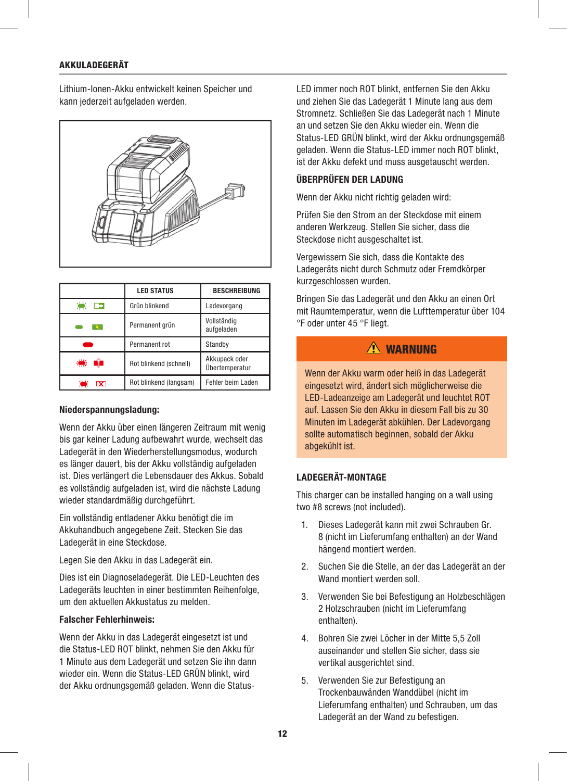#### AKKULADEGERÄT

Lithium-Ionen-Akku entwickelt keinen Speicher und kann jederzeit aufgeladen werden.



|                    | <b>LED STATUS</b>      | <b>BESCHREIBUNG</b>             |
|--------------------|------------------------|---------------------------------|
| 凛<br>$\rightarrow$ | Grün blinkend          | Ladevorgang                     |
|                    | Permanent grün         | Vollständig<br>aufgeladen       |
|                    | Permanent rot          | Standby                         |
| ₩                  | Rot blinkend (schnell) | Akkupack oder<br>Übertemperatur |
| $\mathbf x$        | Rot blinkend (langsam) | Fehler beim Laden               |

#### Niederspannungsladung:

Wenn der Akku über einen längeren Zeitraum mit wenig bis gar keiner Ladung aufbewahrt wurde, wechselt das Ladegerät in den Wiederherstellungsmodus, wodurch es länger dauert, bis der Akku vollständig aufgeladen ist. Dies verlängert die Lebensdauer des Akkus. Sobald es vollständig aufgeladen ist, wird die nächste Ladung wieder standardmäßig durchgeführt.

Ein vollständig entladener Akku benötigt die im Akkuhandbuch angegebene Zeit. Stecken Sie das Ladegerät in eine Steckdose.

Legen Sie den Akku in das Ladegerät ein.

Dies ist ein Diagnoseladegerät. Die LED-Leuchten des Ladegeräts leuchten in einer bestimmten Reihenfolge, um den aktuellen Akkustatus zu melden.

#### Falscher Fehlerhinweis:

Wenn der Akku in das Ladegerät eingesetzt ist und die Status-LED ROT blinkt, nehmen Sie den Akku für 1 Minute aus dem Ladegerät und setzen Sie ihn dann wieder ein. Wenn die Status-LED GRÜN blinkt, wird der Akku ordnungsgemäß geladen. Wenn die Status-

LED immer noch ROT blinkt, entfernen Sie den Akku und ziehen Sie das Ladegerät 1 Minute lang aus dem Stromnetz. Schließen Sie das Ladegerät nach 1 Minute an und setzen Sie den Akku wieder ein. Wenn die Status-LED GRÜN blinkt, wird der Akku ordnungsgemäß geladen. Wenn die Status-LED immer noch ROT blinkt, ist der Akku defekt und muss ausgetauscht werden.

#### ÜBERPRÜFEN DER LADUNG

Wenn der Akku nicht richtig geladen wird:

Prüfen Sie den Strom an der Steckdose mit einem anderen Werkzeug. Stellen Sie sicher, dass die Steckdose nicht ausgeschaltet ist.

Vergewissern Sie sich, dass die Kontakte des Ladegeräts nicht durch Schmutz oder Fremdkörper kurzgeschlossen wurden.

Bringen Sie das Ladegerät und den Akku an einen Ort mit Raumtemperatur, wenn die Lufttemperatur über 104 °F oder unter 45 °F liegt.

### $\sqrt{N}$  WARNIING

Wenn der Akku warm oder heiß in das Ladegerät eingesetzt wird, ändert sich möglicherweise die LED-Ladeanzeige am Ladegerät und leuchtet ROT auf. Lassen Sie den Akku in diesem Fall bis zu 30 Minuten im Ladegerät abkühlen. Der Ladevorgang sollte automatisch beginnen, sobald der Akku abgekühlt ist.

#### LADEGERÄT-MONTAGE

This charger can be installed hanging on a wall using two #8 screws (not included).

- 1. Dieses Ladegerät kann mit zwei Schrauben Gr. 8 (nicht im Lieferumfang enthalten) an der Wand hängend montiert werden.
- 2. Suchen Sie die Stelle, an der das Ladegerät an der Wand montiert werden soll.
- 3. Verwenden Sie bei Befestigung an Holzbeschlägen 2 Holzschrauben (nicht im Lieferumfang enthalten).
- 4. Bohren Sie zwei Löcher in der Mitte 5,5 Zoll auseinander und stellen Sie sicher, dass sie vertikal ausgerichtet sind.
- 5. Verwenden Sie zur Befestigung an Trockenbauwänden Wanddübel (nicht im Lieferumfang enthalten) und Schrauben, um das Ladegerät an der Wand zu befestigen.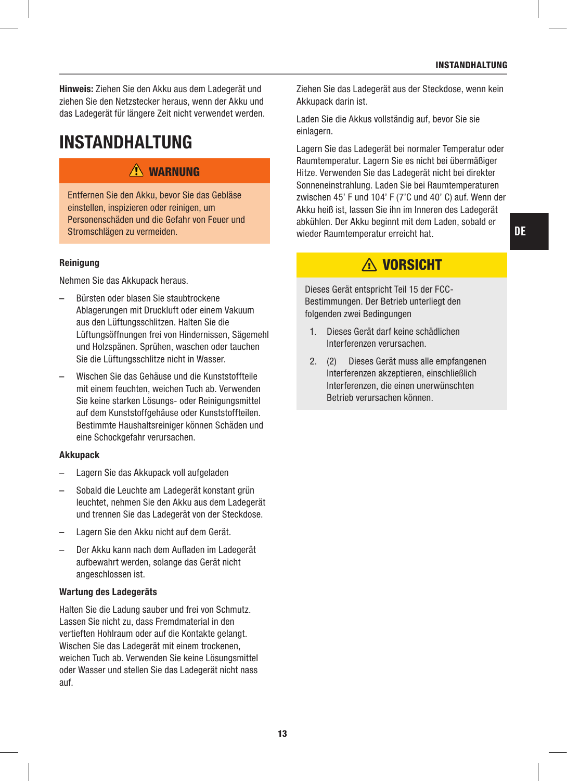Hinweis: Ziehen Sie den Akku aus dem Ladegerät und ziehen Sie den Netzstecker heraus, wenn der Akku und das Ladegerät für längere Zeit nicht verwendet werden.

# INSTANDHALTUNG

### WARNUNG

Entfernen Sie den Akku, bevor Sie das Gebläse einstellen, inspizieren oder reinigen, um Personenschäden und die Gefahr von Feuer und Stromschlägen zu vermeiden.

#### **Reinigung**

Nehmen Sie das Akkupack heraus.

- Bürsten oder blasen Sie staubtrockene Ablagerungen mit Druckluft oder einem Vakuum aus den Lüftungsschlitzen. Halten Sie die Lüftungsöffnungen frei von Hindernissen, Sägemehl und Holzspänen. Sprühen, waschen oder tauchen Sie die Lüftungsschlitze nicht in Wasser.
- Wischen Sie das Gehäuse und die Kunststoffteile mit einem feuchten, weichen Tuch ab. Verwenden Sie keine starken Lösungs- oder Reinigungsmittel auf dem Kunststoffgehäuse oder Kunststoffteilen. Bestimmte Haushaltsreiniger können Schäden und eine Schockgefahr verursachen.

#### Akkupack

- Lagern Sie das Akkupack voll aufgeladen
- Sobald die Leuchte am Ladegerät konstant grün leuchtet, nehmen Sie den Akku aus dem Ladegerät und trennen Sie das Ladegerät von der Steckdose.
- Lagern Sie den Akku nicht auf dem Gerät.
- Der Akku kann nach dem Aufladen im Ladegerät aufbewahrt werden, solange das Gerät nicht angeschlossen ist.

#### Wartung des Ladegeräts

Halten Sie die Ladung sauber und frei von Schmutz. Lassen Sie nicht zu, dass Fremdmaterial in den vertieften Hohlraum oder auf die Kontakte gelangt. Wischen Sie das Ladegerät mit einem trockenen, weichen Tuch ab. Verwenden Sie keine Lösungsmittel oder Wasser und stellen Sie das Ladegerät nicht nass auf.

Ziehen Sie das Ladegerät aus der Steckdose, wenn kein Akkupack darin ist.

Laden Sie die Akkus vollständig auf, bevor Sie sie einlagern.

Lagern Sie das Ladegerät bei normaler Temperatur oder Raumtemperatur. Lagern Sie es nicht bei übermäßiger Hitze. Verwenden Sie das Ladegerät nicht bei direkter Sonneneinstrahlung. Laden Sie bei Raumtemperaturen zwischen 45' F und 104' F (7'C und 40' C) auf. Wenn der Akku heiß ist, lassen Sie ihn im Inneren des Ladegerät abkühlen. Der Akku beginnt mit dem Laden, sobald er wieder Raumtemperatur erreicht hat.

# A VORSICHT

Dieses Gerät entspricht Teil 15 der FCC-Bestimmungen. Der Betrieb unterliegt den folgenden zwei Bedingungen

- 1. Dieses Gerät darf keine schädlichen Interferenzen verursachen.
- 2. (2) Dieses Gerät muss alle empfangenen Interferenzen akzeptieren, einschließlich Interferenzen, die einen unerwünschten Betrieb verursachen können.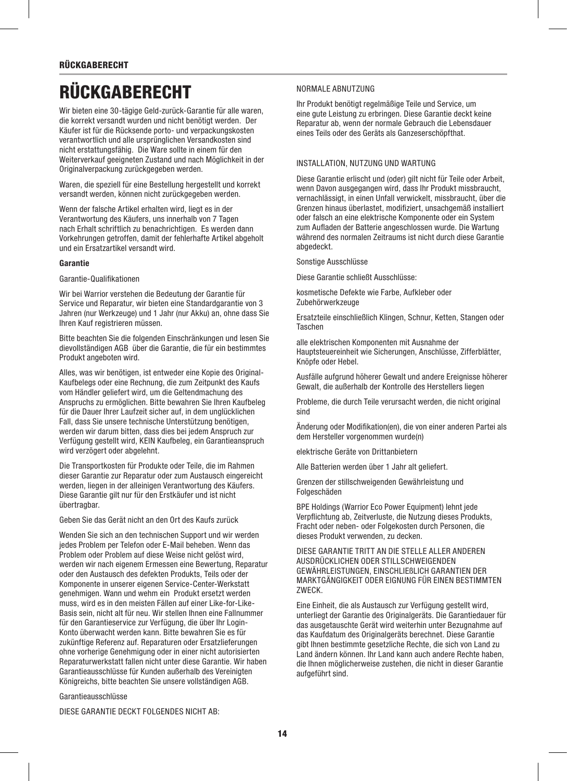# **RÜCKGABERECHT**

Wir bieten eine 30-tägige Geld-zurück-Garantie für alle waren, die korrekt versandt wurden und nicht benötigt werden. Der Käufer ist für die Rücksende porto- und verpackungskosten verantwortlich und alle ursprünglichen Versandkosten sind nicht erstattungsfähig. Die Ware sollte in einem für den Weiterverkauf geeigneten Zustand und nach Möglichkeit in der Originalverpackung zurückgegeben werden.

Waren, die speziell für eine Bestellung hergestellt und korrekt versandt werden, können nicht zurückgegeben werden.

Wenn der falsche Artikel erhalten wird, liegt es in der Verantwortung des Käufers, uns innerhalb von 7 Tagen nach Erhalt schriftlich zu benachrichtigen. Es werden dann Vorkehrungen getroffen, damit der fehlerhafte Artikel abgeholt und ein Ersatzartikel versandt wird.

#### Garantie

Garantie-Qualifikationen

Wir bei Warrior verstehen die Bedeutung der Garantie für Service und Reparatur, wir bieten eine Standardgarantie von 3 Jahren (nur Werkzeuge) und 1 Jahr (nur Akku) an, ohne dass Sie Ihren Kauf registrieren müssen.

Bitte beachten Sie die folgenden Einschränkungen und lesen Sie dievollständigen AGB über die Garantie, die für ein bestimmtes Produkt angeboten wird.

Alles, was wir benötigen, ist entweder eine Kopie des Original-Kaufbelegs oder eine Rechnung, die zum Zeitpunkt des Kaufs vom Händler geliefert wird, um die Geltendmachung des Anspruchs zu ermöglichen. Bitte bewahren Sie Ihren Kaufbeleg für die Dauer Ihrer Laufzeit sicher auf, in dem unglücklichen Fall, dass Sie unsere technische Unterstützung benötigen, werden wir darum bitten, dass dies bei jedem Anspruch zur Verfügung gestellt wird, KEIN Kaufbeleg, ein Garantieanspruch wird verzögert oder abgelehnt.

Die Transportkosten für Produkte oder Teile, die im Rahmen dieser Garantie zur Reparatur oder zum Austausch eingereicht werden, liegen in der alleinigen Verantwortung des Käufers. Diese Garantie gilt nur für den Erstkäufer und ist nicht übertragbar.

Geben Sie das Gerät nicht an den Ort des Kaufs zurück

Wenden Sie sich an den technischen Support und wir werden jedes Problem per Telefon oder E-Mail beheben. Wenn das Problem oder Problem auf diese Weise nicht gelöst wird, werden wir nach eigenem Ermessen eine Bewertung, Reparatur oder den Austausch des defekten Produkts, Teils oder der Komponente in unserer eigenen Service-Center-Werkstatt genehmigen. Wann und wehm ein Produkt ersetzt werden muss, wird es in den meisten Fällen auf einer Like-for-Like-Basis sein, nicht alt für neu. Wir stellen Ihnen eine Fallnummer für den Garantieservice zur Verfügung, die über Ihr Login-Konto überwacht werden kann. Bitte bewahren Sie es für zukünftige Referenz auf. Reparaturen oder Ersatzlieferungen ohne vorherige Genehmigung oder in einer nicht autorisierten Reparaturwerkstatt fallen nicht unter diese Garantie. Wir haben Garantieausschlüsse für Kunden außerhalb des Vereinigten Königreichs, bitte beachten Sie unsere vollständigen AGB.

Garantieausschlüsse

DIESE GARANTIE DECKT FOLGENDES NICHT AB:

#### NORMALE ABNUTZUNG

Ihr Produkt benötigt regelmäßige Teile und Service, um eine gute Leistung zu erbringen. Diese Garantie deckt keine Reparatur ab, wenn der normale Gebrauch die Lebensdauer eines Teils oder des Geräts als Ganzeserschöpfthat.

#### INSTALLATION, NUTZUNG UND WARTUNG

Diese Garantie erlischt und (oder) gilt nicht für Teile oder Arbeit, wenn Davon ausgegangen wird, dass Ihr Produkt missbraucht, vernachlässigt, in einen Unfall verwickelt, missbraucht, über die Grenzen hinaus überlastet, modifiziert, unsachgemäß installiert oder falsch an eine elektrische Komponente oder ein System zum Aufladen der Batterie angeschlossen wurde. Die Wartung während des normalen Zeitraums ist nicht durch diese Garantie abgedeckt.

Sonstige Ausschlüsse

Diese Garantie schließt Ausschlüsse:

kosmetische Defekte wie Farbe, Aufkleber oder Zubehörwerkzeuge

Ersatzteile einschließlich Klingen, Schnur, Ketten, Stangen oder Taschen

alle elektrischen Komponenten mit Ausnahme der Hauptsteuereinheit wie Sicherungen, Anschlüsse, Zifferblätter, Knöpfe oder Hebel.

Ausfälle aufgrund höherer Gewalt und andere Ereignisse höherer Gewalt, die außerhalb der Kontrolle des Herstellers liegen

Probleme, die durch Teile verursacht werden, die nicht original sind

Änderung oder Modifikation(en), die von einer anderen Partei als dem Hersteller vorgenommen wurde(n)

elektrische Geräte von Drittanbietern

Alle Batterien werden über 1 Jahr alt geliefert.

Grenzen der stillschweigenden Gewährleistung und Folgeschäden

BPE Holdings (Warrior Eco Power Equipment) lehnt jede Verpflichtung ab, Zeitverluste, die Nutzung dieses Produkts, Fracht oder neben- oder Folgekosten durch Personen, die dieses Produkt verwenden, zu decken.

DIESE GARANTIE TRITT AN DIE STELLE ALLER ANDEREN AUSDRÜCKLICHEN ODER STILL SCHWEIGENDEN GEWÄHRLEISTUNGEN, EINSCHLIEßLICH GARANTIEN DER MARKTGÄNGIGKEIT ODER EIGNUNG FÜR EINEN BESTIMMTEN ZWECK.

Eine Einheit, die als Austausch zur Verfügung gestellt wird, unterliegt der Garantie des Originalgeräts. Die Garantiedauer für das ausgetauschte Gerät wird weiterhin unter Bezugnahme auf das Kaufdatum des Originalgeräts berechnet. Diese Garantie gibt Ihnen bestimmte gesetzliche Rechte, die sich von Land zu Land ändern können. Ihr Land kann auch andere Rechte haben, die Ihnen möglicherweise zustehen, die nicht in dieser Garantie aufgeführt sind.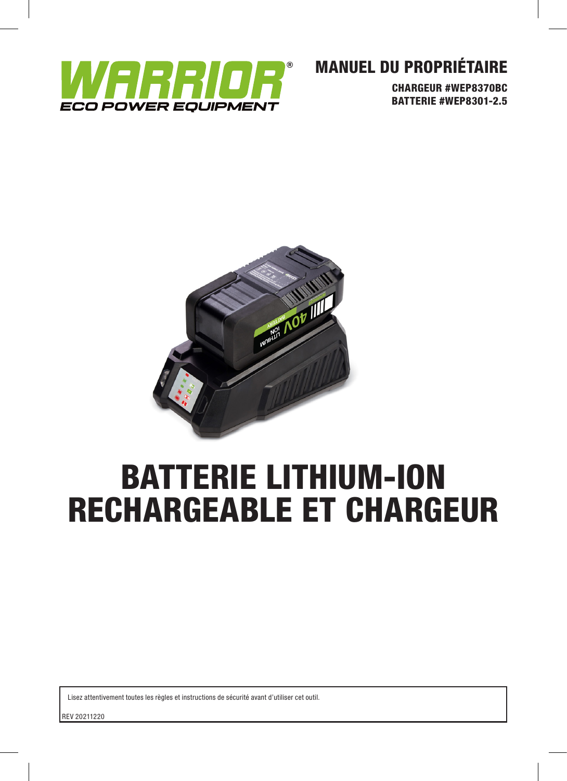

# MANUEL DU PROPRIÉTAIRE

CHARGEUR #WEP8370BC BATTERIE #WEP8301-2.5



# BATTERIE LITHIUM-ION RECHARGEABLE ET CHARGEUR

Lisez attentivement toutes les règles et instructions de sécurité avant d'utiliser cet outil.

REV 20211220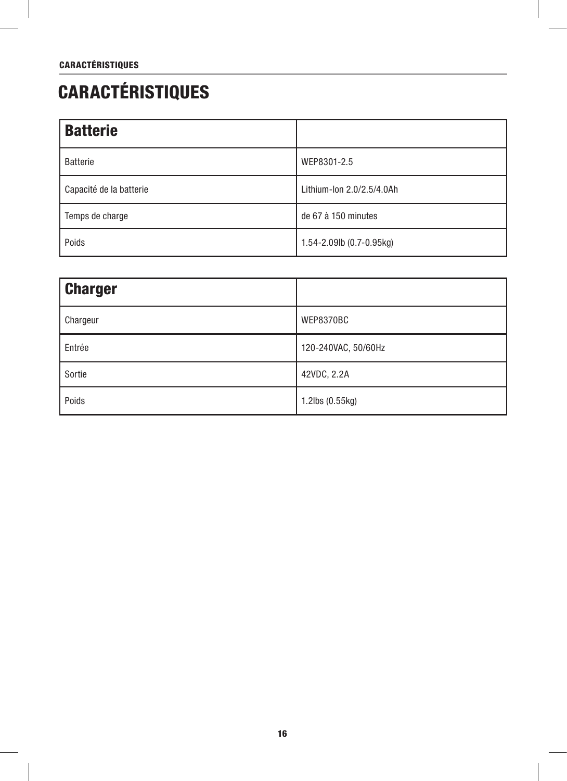# CARACTÉRISTIQUES

| <b>Batterie</b>         |                           |
|-------------------------|---------------------------|
| <b>Batterie</b>         | WEP8301-2.5               |
| Capacité de la batterie | Lithium-Ion 2.0/2.5/4.0Ah |
| Temps de charge         | de 67 à 150 minutes       |
| Poids                   | 1.54-2.09lb (0.7-0.95kg)  |

| <b>Charger</b> |                     |
|----------------|---------------------|
| Chargeur       | WEP8370BC           |
| Entrée         | 120-240VAC, 50/60Hz |
| Sortie         | 42VDC, 2.2A         |
| Poids          | 1.2lbs (0.55kg)     |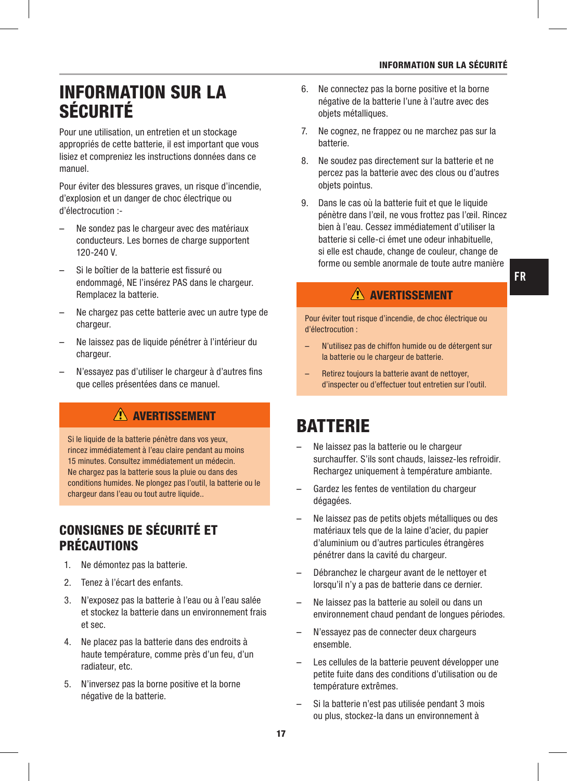# INFORMATION SUR LA SÉCURITÉ

Pour une utilisation, un entretien et un stockage appropriés de cette batterie, il est important que vous lisiez et compreniez les instructions données dans ce manuel.

Pour éviter des blessures graves, un risque d'incendie, d'explosion et un danger de choc électrique ou d'électrocution :-

- Ne sondez pas le chargeur avec des matériaux conducteurs. Les bornes de charge supportent 120-240 V.
- Si le boîtier de la batterie est fissuré ou endommagé, NE l'insérez PAS dans le chargeur. Remplacez la batterie.
- Ne chargez pas cette batterie avec un autre type de chargeur.
- Ne laissez pas de liquide pénétrer à l'intérieur du chargeur.
- N'essayez pas d'utiliser le chargeur à d'autres fins que celles présentées dans ce manuel.

# **AVERTISSEMENT**

Si le liquide de la batterie pénètre dans vos yeux, rincez immédiatement à l'eau claire pendant au moins 15 minutes. Consultez immédiatement un médecin. Ne chargez pas la batterie sous la pluie ou dans des conditions humides. Ne plongez pas l'outil, la batterie ou le chargeur dans l'eau ou tout autre liquide..

# CONSIGNES DE SÉCURITÉ ET PRÉCAUTIONS

- 1. Ne démontez pas la batterie.
- 2. Tenez à l'écart des enfants.
- 3. N'exposez pas la batterie à l'eau ou à l'eau salée et stockez la batterie dans un environnement frais et sec.
- 4. Ne placez pas la batterie dans des endroits à haute température, comme près d'un feu, d'un radiateur, etc.
- 5. N'inversez pas la borne positive et la borne négative de la batterie.
- 6. Ne connectez pas la borne positive et la borne négative de la batterie l'une à l'autre avec des objets métalliques.
- 7. Ne cognez, ne frappez ou ne marchez pas sur la batterie.
- 8. Ne soudez pas directement sur la batterie et ne percez pas la batterie avec des clous ou d'autres objets pointus.
- 9. Dans le cas où la batterie fuit et que le liquide pénètre dans l'œil, ne vous frottez pas l'œil. Rincez bien à l'eau. Cessez immédiatement d'utiliser la batterie si celle-ci émet une odeur inhabituelle, si elle est chaude, change de couleur, change de forme ou semble anormale de toute autre manière

# AVERTISSEMENT

Pour éviter tout risque d'incendie, de choc électrique ou d'électrocution :

- N'utilisez pas de chiffon humide ou de détergent sur la batterie ou le chargeur de batterie.
- Retirez toujours la batterie avant de nettoyer, d'inspecter ou d'effectuer tout entretien sur l'outil.

# **BATTERIE**

- Ne laissez pas la batterie ou le chargeur surchauffer. S'ils sont chauds, laissez-les refroidir. Rechargez uniquement à température ambiante.
- Gardez les fentes de ventilation du chargeur dégagées.
- Ne laissez pas de petits objets métalliques ou des matériaux tels que de la laine d'acier, du papier d'aluminium ou d'autres particules étrangères pénétrer dans la cavité du chargeur.
- Débranchez le chargeur avant de le nettoyer et lorsqu'il n'y a pas de batterie dans ce dernier.
- Ne laissez pas la batterie au soleil ou dans un environnement chaud pendant de longues périodes.
- N'essayez pas de connecter deux chargeurs ensemble.
- Les cellules de la batterie peuvent développer une petite fuite dans des conditions d'utilisation ou de température extrêmes.
- Si la batterie n'est pas utilisée pendant 3 mois ou plus, stockez-la dans un environnement à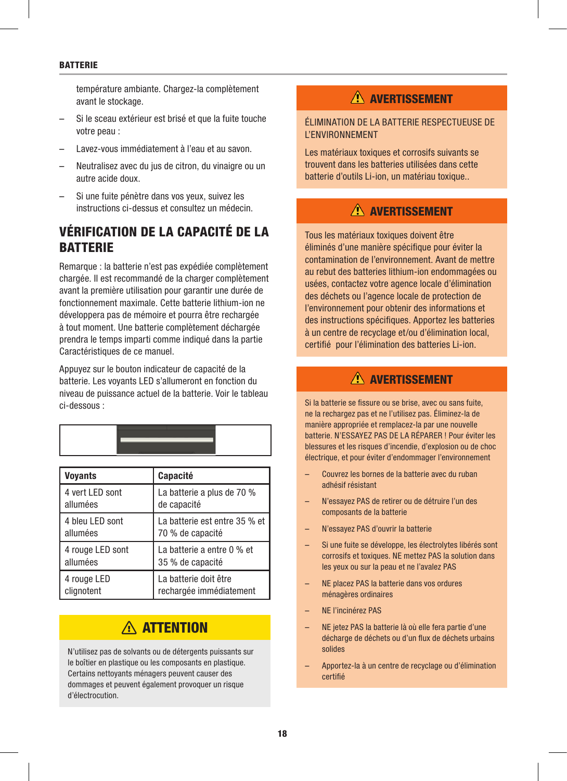#### **BATTERIE**

température ambiante. Chargez-la complètement avant le stockage.

- Si le sceau extérieur est brisé et que la fuite touche votre peau :
- Lavez-vous immédiatement à l'eau et au savon.
- Neutralisez avec du jus de citron, du vinaigre ou un autre acide doux.
- Si une fuite pénètre dans vos yeux, suivez les instructions ci-dessus et consultez un médecin.

# VÉRIFICATION DE LA CAPACITÉ DE LA **BATTERIE**

Remarque : la batterie n'est pas expédiée complètement chargée. Il est recommandé de la charger complètement avant la première utilisation pour garantir une durée de fonctionnement maximale. Cette batterie lithium-ion ne développera pas de mémoire et pourra être rechargée à tout moment. Une batterie complètement déchargée prendra le temps imparti comme indiqué dans la partie Caractéristiques de ce manuel.

Appuyez sur le bouton indicateur de capacité de la batterie. Les voyants LED s'allumeront en fonction du niveau de puissance actuel de la batterie. Voir le tableau ci-dessous :

| <b>Voyants</b>   | <b>Capacité</b>               |
|------------------|-------------------------------|
| 4 vert LED sont  | La batterie a plus de 70 %    |
| allumées         | de capacité                   |
| 4 bleu LED sont  | La batterie est entre 35 % et |
| allumées         | 70 % de capacité              |
| 4 rouge LED sont | La batterie a entre 0 % et    |
| allumées         | 35 % de capacité              |
| 4 rouge LED      | La batterie doit être         |
| clignotent       | rechargée immédiatement       |

# A ATTENTION

N'utilisez pas de solvants ou de détergents puissants sur le boîtier en plastique ou les composants en plastique. Certains nettoyants ménagers peuvent causer des dommages et peuvent également provoquer un risque d'électrocution.

# **AVERTISSEMENT**

ÉLIMINATION DE LA BATTERIE RESPECTUEUSE DE L'ENVIRONNEMENT

Les matériaux toxiques et corrosifs suivants se trouvent dans les batteries utilisées dans cette batterie d'outils Li-ion, un matériau toxique..

### AVERTISSEMENT

Tous les matériaux toxiques doivent être éliminés d'une manière spécifique pour éviter la contamination de l'environnement. Avant de mettre au rebut des batteries lithium-ion endommagées ou usées, contactez votre agence locale d'élimination des déchets ou l'agence locale de protection de l'environnement pour obtenir des informations et des instructions spécifiques. Apportez les batteries à un centre de recyclage et/ou d'élimination local, certifié pour l'élimination des batteries Li-ion.

### AVERTISSEMENT

Si la batterie se fissure ou se brise, avec ou sans fuite, ne la rechargez pas et ne l'utilisez pas. Éliminez-la de manière appropriée et remplacez-la par une nouvelle batterie. N'ESSAYEZ PAS DE LA RÉPARER ! Pour éviter les blessures et les risques d'incendie, d'explosion ou de choc électrique, et pour éviter d'endommager l'environnement

- Couvrez les bornes de la batterie avec du ruban adhésif résistant
- N'essayez PAS de retirer ou de détruire l'un des composants de la batterie
- N'essayez PAS d'ouvrir la batterie
- Si une fuite se développe, les électrolytes libérés sont corrosifs et toxiques. NE mettez PAS la solution dans les yeux ou sur la peau et ne l'avalez PAS
- NE placez PAS la batterie dans vos ordures ménagères ordinaires
- NE l'incinérez PAS
- NE jetez PAS la batterie là où elle fera partie d'une décharge de déchets ou d'un flux de déchets urbains solides
- Apportez-la à un centre de recyclage ou d'élimination certifié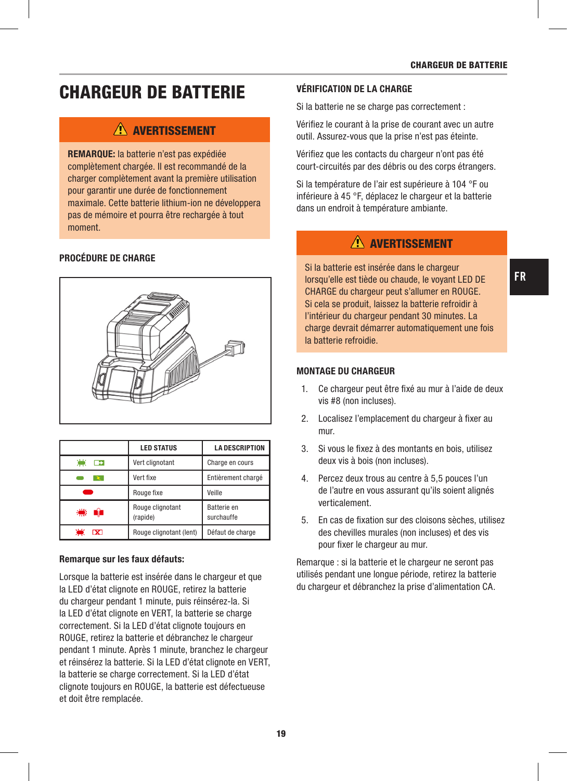# CHARGEUR DE BATTERIE

### AVERTISSEMENT

REMARQUE: la batterie n'est pas expédiée complètement chargée. Il est recommandé de la charger complètement avant la première utilisation pour garantir une durée de fonctionnement maximale. Cette batterie lithium-ion ne développera pas de mémoire et pourra être rechargée à tout moment.

#### PROCÉDURE DE CHARGE



|                     | <b>LED STATUS</b>            | <b>LA DESCRIPTION</b>     |
|---------------------|------------------------------|---------------------------|
| 黨<br>$\overline{ }$ | Vert clignotant              | Charge en cours           |
|                     | Vert fixe                    | Entièrement chargé        |
|                     | Rouge fixe                   | Veille                    |
| 糕<br>- 11           | Rouge clignotant<br>(rapide) | Batterie en<br>surchauffe |
| $\mathbf x$         | Rouge clignotant (lent)      | Défaut de charge          |

#### Remarque sur les faux défauts:

Lorsque la batterie est insérée dans le chargeur et que la LED d'état clignote en ROUGE, retirez la batterie du chargeur pendant 1 minute, puis réinsérez-la. Si la LED d'état clignote en VERT, la batterie se charge correctement. Si la LED d'état clignote toujours en ROUGE, retirez la batterie et débranchez le chargeur pendant 1 minute. Après 1 minute, branchez le chargeur et réinsérez la batterie. Si la LED d'état clignote en VERT, la batterie se charge correctement. Si la LED d'état clignote toujours en ROUGE, la batterie est défectueuse et doit être remplacée.

#### VÉRIFICATION DE LA CHARGE

Si la batterie ne se charge pas correctement :

Vérifiez le courant à la prise de courant avec un autre outil. Assurez-vous que la prise n'est pas éteinte.

Vérifiez que les contacts du chargeur n'ont pas été court-circuités par des débris ou des corps étrangers.

Si la température de l'air est supérieure à 104 °F ou inférieure à 45 °F, déplacez le chargeur et la batterie dans un endroit à température ambiante.

### **AVERTISSEMENT**

Si la batterie est insérée dans le chargeur lorsqu'elle est tiède ou chaude, le voyant LED DE CHARGE du chargeur peut s'allumer en ROUGE. Si cela se produit, laissez la batterie refroidir à l'intérieur du chargeur pendant 30 minutes. La charge devrait démarrer automatiquement une fois la batterie refroidie.

#### MONTAGE DU CHARGEUR

- 1. Ce chargeur peut être fixé au mur à l'aide de deux vis #8 (non incluses).
- 2. Localisez l'emplacement du chargeur à fixer au mur.
- 3. Si vous le fixez à des montants en bois, utilisez deux vis à bois (non incluses).
- 4. Percez deux trous au centre à 5,5 pouces l'un de l'autre en vous assurant qu'ils soient alignés verticalement.
- 5. En cas de fixation sur des cloisons sèches, utilisez des chevilles murales (non incluses) et des vis pour fixer le chargeur au mur.

Remarque : si la batterie et le chargeur ne seront pas utilisés pendant une longue période, retirez la batterie du chargeur et débranchez la prise d'alimentation CA.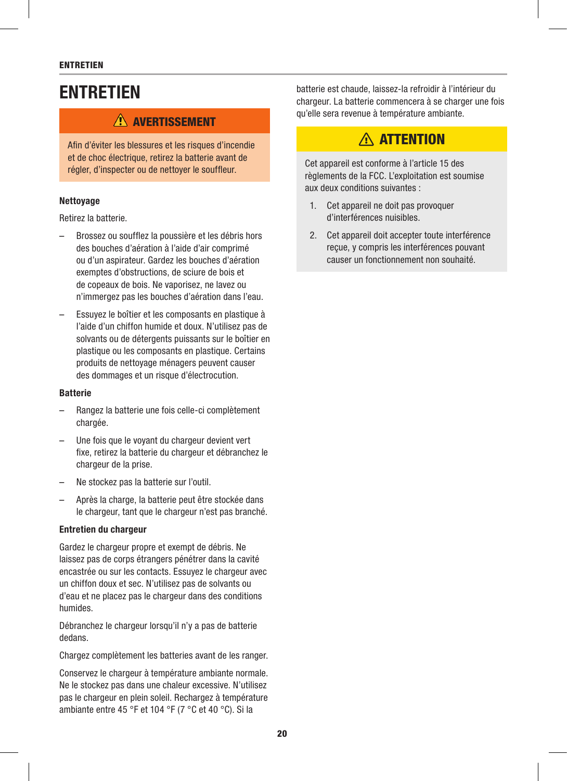#### ENTRETIEN

# **ENTRETIEN**

### **AVERTISSEMENT**

Afin d'éviter les blessures et les risques d'incendie et de choc électrique, retirez la batterie avant de régler, d'inspecter ou de nettoyer le souffleur.

#### **Nettovage**

Retirez la batterie.

- Brossez ou soufflez la poussière et les débris hors des bouches d'aération à l'aide d'air comprimé ou d'un aspirateur. Gardez les bouches d'aération exemptes d'obstructions, de sciure de bois et de copeaux de bois. Ne vaporisez, ne lavez ou n'immergez pas les bouches d'aération dans l'eau.
- Essuyez le boîtier et les composants en plastique à l'aide d'un chiffon humide et doux. N'utilisez pas de solvants ou de détergents puissants sur le boîtier en plastique ou les composants en plastique. Certains produits de nettoyage ménagers peuvent causer des dommages et un risque d'électrocution.

#### Batterie

- Rangez la batterie une fois celle-ci complètement chargée.
- Une fois que le voyant du chargeur devient vert fixe, retirez la batterie du chargeur et débranchez le chargeur de la prise.
- Ne stockez pas la batterie sur l'outil.
- Après la charge, la batterie peut être stockée dans le chargeur, tant que le chargeur n'est pas branché.

#### Entretien du chargeur

Gardez le chargeur propre et exempt de débris. Ne laissez pas de corps étrangers pénétrer dans la cavité encastrée ou sur les contacts. Essuyez le chargeur avec un chiffon doux et sec. N'utilisez pas de solvants ou d'eau et ne placez pas le chargeur dans des conditions humides.

Débranchez le chargeur lorsqu'il n'y a pas de batterie dedans.

Chargez complètement les batteries avant de les ranger.

Conservez le chargeur à température ambiante normale. Ne le stockez pas dans une chaleur excessive. N'utilisez pas le chargeur en plein soleil. Rechargez à température ambiante entre 45 °F et 104 °F (7 °C et 40 °C). Si la

batterie est chaude, laissez-la refroidir à l'intérieur du chargeur. La batterie commencera à se charger une fois qu'elle sera revenue à température ambiante.

# A ATTENTION

Cet appareil est conforme à l'article 15 des règlements de la FCC. L'exploitation est soumise aux deux conditions suivantes :

- 1. Cet appareil ne doit pas provoquer d'interférences nuisibles.
- 2. Cet appareil doit accepter toute interférence reçue, y compris les interférences pouvant causer un fonctionnement non souhaité.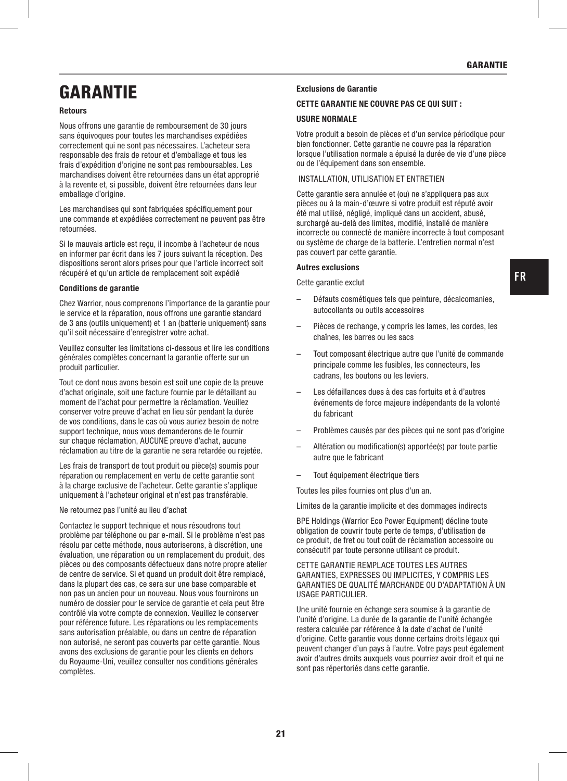# **GARANTIF**

#### Retours

Nous offrons une garantie de remboursement de 30 jours sans équivoques pour toutes les marchandises expédiées correctement qui ne sont pas nécessaires. L'acheteur sera responsable des frais de retour et d'emballage et tous les frais d'expédition d'origine ne sont pas remboursables. Les marchandises doivent être retournées dans un état approprié à la revente et, si possible, doivent être retournées dans leur emballage d'origine.

Les marchandises qui sont fabriquées spécifiquement pour une commande et expédiées correctement ne peuvent pas être retournées.

Si le mauvais article est reçu, il incombe à l'acheteur de nous en informer par écrit dans les 7 jours suivant la réception. Des dispositions seront alors prises pour que l'article incorrect soit récupéré et qu'un article de remplacement soit expédié

#### Conditions de garantie

Chez Warrior, nous comprenons l'importance de la garantie pour le service et la réparation, nous offrons une garantie standard de 3 ans (outils uniquement) et 1 an (batterie uniquement) sans qu'il soit nécessaire d'enregistrer votre achat.

Veuillez consulter les limitations ci-dessous et lire les conditions générales complètes concernant la garantie offerte sur un produit particulier.

Tout ce dont nous avons besoin est soit une copie de la preuve d'achat originale, soit une facture fournie par le détaillant au moment de l'achat pour permettre la réclamation. Veuillez conserver votre preuve d'achat en lieu sûr pendant la durée de vos conditions, dans le cas où vous auriez besoin de notre support technique, nous vous demanderons de le fournir sur chaque réclamation, AUCUNE preuve d'achat, aucune réclamation au titre de la garantie ne sera retardée ou rejetée.

Les frais de transport de tout produit ou pièce(s) soumis pour réparation ou remplacement en vertu de cette garantie sont à la charge exclusive de l'acheteur. Cette garantie s'applique uniquement à l'acheteur original et n'est pas transférable.

#### Ne retournez pas l'unité au lieu d'achat

Contactez le support technique et nous résoudrons tout problème par téléphone ou par e-mail. Si le problème n'est pas résolu par cette méthode, nous autoriserons, à discrétion, une évaluation, une réparation ou un remplacement du produit, des pièces ou des composants défectueux dans notre propre atelier de centre de service. Si et quand un produit doit être remplacé, dans la plupart des cas, ce sera sur une base comparable et non pas un ancien pour un nouveau. Nous vous fournirons un numéro de dossier pour le service de garantie et cela peut être contrôlé via votre compte de connexion. Veuillez le conserver pour référence future. Les réparations ou les remplacements sans autorisation préalable, ou dans un centre de réparation non autorisé, ne seront pas couverts par cette garantie. Nous avons des exclusions de garantie pour les clients en dehors du Royaume-Uni, veuillez consulter nos conditions générales complètes.

#### Exclusions de Garantie

#### CETTE GARANTIE NE COUVRE PAS CE QUI SUIT :

#### USURE NORMALE

Votre produit a besoin de pièces et d'un service périodique pour bien fonctionner. Cette garantie ne couvre pas la réparation lorsque l'utilisation normale a épuisé la durée de vie d'une pièce ou de l'équipement dans son ensemble.

#### INSTALLATION, UTILISATION ET ENTRETIEN

Cette garantie sera annulée et (ou) ne s'appliquera pas aux pièces ou à la main-d'œuvre si votre produit est réputé avoir été mal utilisé, négligé, impliqué dans un accident, abusé, surchargé au-delà des limites, modifié, installé de manière incorrecte ou connecté de manière incorrecte à tout composant ou système de charge de la batterie. L'entretien normal n'est pas couvert par cette garantie.

#### Autres exclusions

Cette garantie exclut

- Défauts cosmétiques tels que peinture, décalcomanies, autocollants ou outils accessoires
- Pièces de rechange, y compris les lames, les cordes, les chaînes, les barres ou les sacs
- Tout composant électrique autre que l'unité de commande principale comme les fusibles, les connecteurs, les cadrans, les boutons ou les leviers.
- Les défaillances dues à des cas fortuits et à d'autres événements de force majeure indépendants de la volonté du fabricant
- Problèmes causés par des pièces qui ne sont pas d'origine
- Altération ou modification(s) apportée(s) par toute partie autre que le fabricant
- Tout équipement électrique tiers

Toutes les piles fournies ont plus d'un an.

Limites de la garantie implicite et des dommages indirects

BPE Holdings (Warrior Eco Power Equipment) décline toute obligation de couvrir toute perte de temps, d'utilisation de ce produit, de fret ou tout coût de réclamation accessoire ou consécutif par toute personne utilisant ce produit.

#### CETTE GARANTIE REMPLACE TOUTES LES AUTRES GARANTIES, EXPRESSES OU IMPLICITES, Y COMPRIS LES GARANTIES DE QUALITÉ MARCHANDE OU D'ADAPTATION À UN USAGE PARTICULIER

Une unité fournie en échange sera soumise à la garantie de l'unité d'origine. La durée de la garantie de l'unité échangée restera calculée par référence à la date d'achat de l'unité d'origine. Cette garantie vous donne certains droits légaux qui peuvent changer d'un pays à l'autre. Votre pays peut également avoir d'autres droits auxquels vous pourriez avoir droit et qui ne sont pas répertoriés dans cette garantie.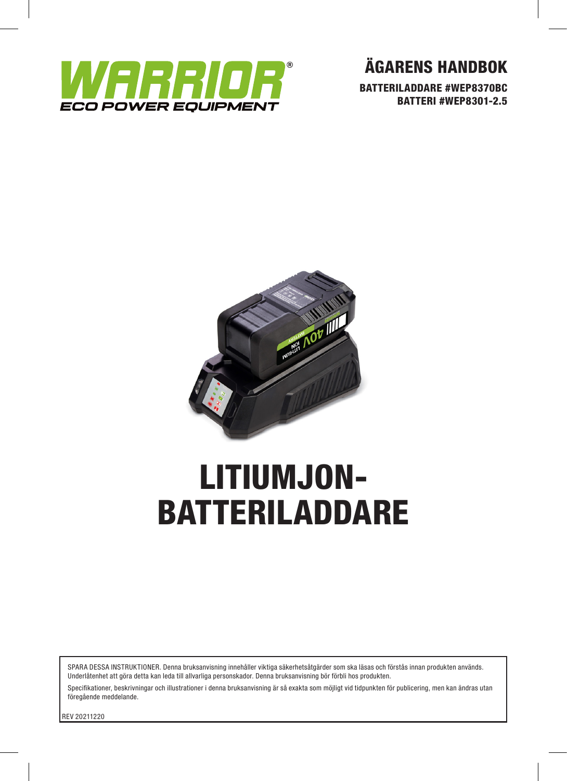

ÄGARENS HANDBOK

BATTERILADDARE #WEP8370BC BATTERI #WEP8301-2.5



# LITIUMJON-BATTERILADDARE

SPARA DESSA INSTRUKTIONER. Denna bruksanvisning innehåller viktiga säkerhetsåtgärder som ska läsas och förstås innan produkten används. Underlåtenhet att göra detta kan leda till allvarliga personskador. Denna bruksanvisning bör förbli hos produkten.

Specifikationer, beskrivningar och illustrationer i denna bruksanvisning är så exakta som möjligt vid tidpunkten för publicering, men kan ändras utan föregående meddelande.

REV 20211220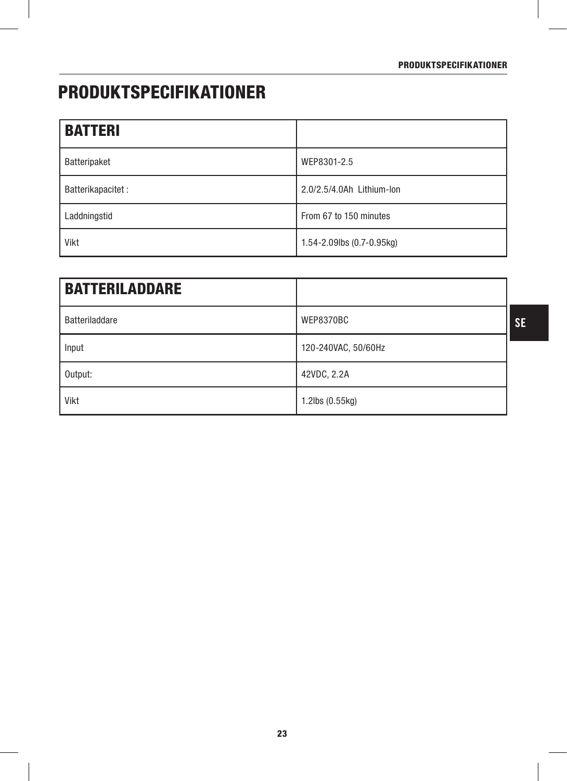# PRODUKTSPECIFIKATIONER

| <b>BATTERI</b>     |                             |
|--------------------|-----------------------------|
| Batteripaket       | WEP8301-2.5                 |
| Batterikapacitet : | 2.0/2.5/4.0Ah Lithium-lon   |
| Laddningstid       | From 67 to 150 minutes      |
| Vikt               | 1.54-2.09lbs $(0.7-0.95kg)$ |

| <b>BATTERILADDARE</b> |                     |           |
|-----------------------|---------------------|-----------|
| <b>Batteriladdare</b> | WEP8370BC           | <b>SE</b> |
| Input                 | 120-240VAC, 50/60Hz |           |
| Output:               | 42VDC, 2.2A         |           |
| Vikt                  | 1.2lbs (0.55kg)     |           |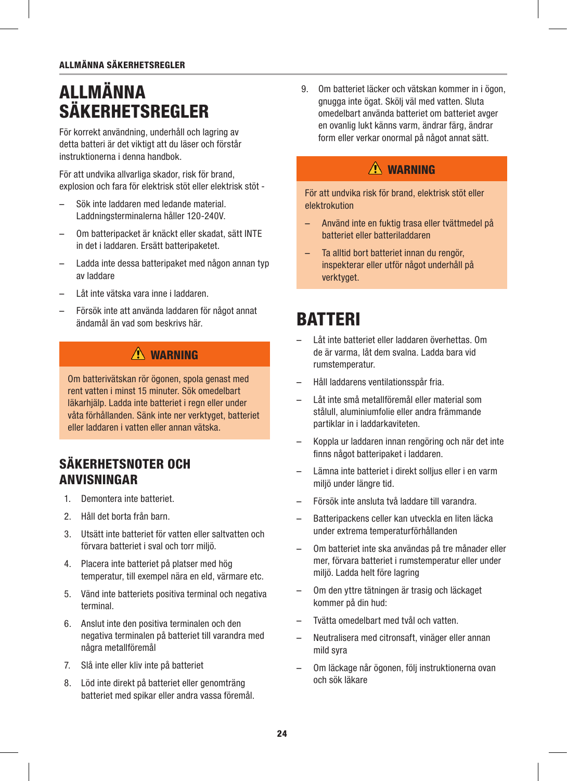#### ALLMÄNNA SÄKERHETSREGLER

# ALLMÄNNA SÄKERHETSREGLER

För korrekt användning, underhåll och lagring av detta batteri är det viktigt att du läser och förstår instruktionerna i denna handbok.

För att undvika allvarliga skador, risk för brand, explosion och fara för elektrisk stöt eller elektrisk stöt -

- Sök inte laddaren med ledande material. Laddningsterminalerna håller 120-240V.
- Om batteripacket är knäckt eller skadat, sätt INTE in det i laddaren. Ersätt batteripaketet.
- Ladda inte dessa batteripaket med någon annan typ av laddare
- Låt inte vätska vara inne i laddaren.
- Försök inte att använda laddaren för något annat ändamål än vad som beskrivs här.

# $\Lambda$  WARNING

Om batterivätskan rör ögonen, spola genast med rent vatten i minst 15 minuter. Sök omedelbart läkarhjälp. Ladda inte batteriet i regn eller under våta förhållanden. Sänk inte ner verktyget, batteriet eller laddaren i vatten eller annan vätska.

### SÄKERHETSNOTER OCH ANVISNINGAR

- 1. Demontera inte batteriet.
- 2. Håll det borta från barn.
- 3. Utsätt inte batteriet för vatten eller saltvatten och förvara batteriet i sval och torr miljö.
- 4. Placera inte batteriet på platser med hög temperatur, till exempel nära en eld, värmare etc.
- 5. Vänd inte batteriets positiva terminal och negativa terminal.
- 6. Anslut inte den positiva terminalen och den negativa terminalen på batteriet till varandra med några metallföremål
- 7. Slå inte eller kliv inte på batteriet
- 8. Löd inte direkt på batteriet eller genomträng batteriet med spikar eller andra vassa föremål.

9. Om batteriet läcker och vätskan kommer in i ögon, gnugga inte ögat. Skölj väl med vatten. Sluta omedelbart använda batteriet om batteriet avger en ovanlig lukt känns varm, ändrar färg, ändrar form eller verkar onormal på något annat sätt.

### A WARNING

För att undvika risk för brand, elektrisk stöt eller elektrokution

- Använd inte en fuktig trasa eller tvättmedel på batteriet eller batteriladdaren
- Ta alltid bort batteriet innan du rengör, inspekterar eller utför något underhåll på verktyget.

# **BATTERI**

- Låt inte batteriet eller laddaren överhettas. Om de är varma, låt dem svalna. Ladda bara vid rumstemperatur.
- Håll laddarens ventilationsspår fria.
- Låt inte små metallföremål eller material som stålull, aluminiumfolie eller andra främmande partiklar in i laddarkaviteten.
- Koppla ur laddaren innan rengöring och när det inte finns något batteripaket i laddaren.
- Lämna inte batteriet i direkt solljus eller i en varm miljö under längre tid.
- Försök inte ansluta två laddare till varandra.
- Batteripackens celler kan utveckla en liten läcka under extrema temperaturförhållanden
- Om batteriet inte ska användas på tre månader eller mer, förvara batteriet i rumstemperatur eller under miljö. Ladda helt före lagring
- Om den yttre tätningen är trasig och läckaget kommer på din hud:
- Tvätta omedelbart med tvål och vatten.
- Neutralisera med citronsaft, vinäger eller annan mild syra
- Om läckage når ögonen, följ instruktionerna ovan och sök läkare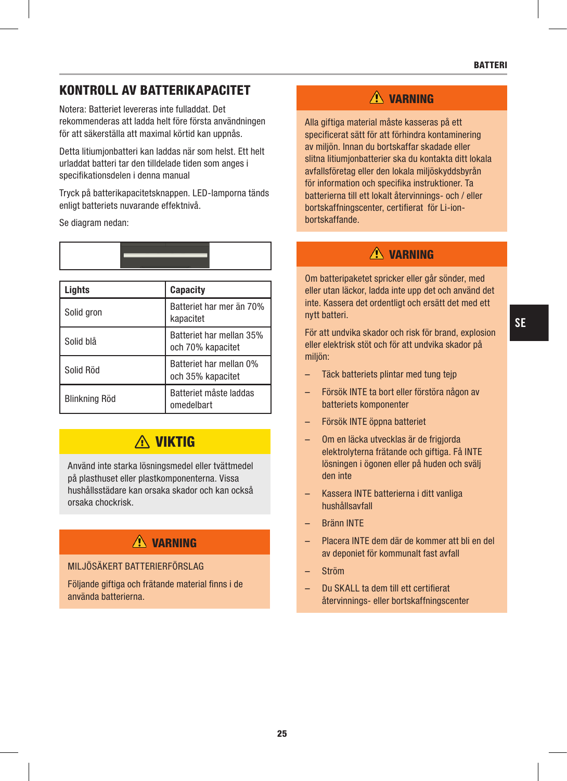### KONTROLL AV BATTERIKAPACITET

Notera: Batteriet levereras inte fulladdat. Det rekommenderas att ladda helt före första användningen för att säkerställa att maximal körtid kan uppnås.

Detta litiumjonbatteri kan laddas när som helst. Ett helt urladdat batteri tar den tilldelade tiden som anges i specifikationsdelen i denna manual

Tryck på batterikapacitetsknappen. LED-lamporna tänds enligt batteriets nuvarande effektnivå.

Se diagram nedan:

| Liahts        | <b>Capacity</b>                               |
|---------------|-----------------------------------------------|
| Solid gron    | Batteriet har mer än 70%<br>kapacitet         |
| Solid blå     | Batteriet har mellan 35%<br>och 70% kapacitet |
| Solid Röd     | Batteriet har mellan 0%<br>och 35% kapacitet  |
| Blinkning Röd | Batteriet måste laddas<br>omedelbart          |

# **A VIKTIG**

Använd inte starka lösningsmedel eller tvättmedel på plasthuset eller plastkomponenterna. Vissa hushållsstädare kan orsaka skador och kan också orsaka chockrisk.

# $\hat{N}$  varning

#### MILJÖSÄKERT BATTERIERFÖRSLAG

Följande giftiga och frätande material finns i de använda batterierna.

### $\triangle$  VARNING

Alla giftiga material måste kasseras på ett specificerat sätt för att förhindra kontaminering av miljön. Innan du bortskaffar skadade eller slitna litiumjonbatterier ska du kontakta ditt lokala avfallsföretag eller den lokala miljöskyddsbyrån för information och specifika instruktioner. Ta batterierna till ett lokalt återvinnings- och / eller bortskaffningscenter, certifierat för Li-ionbortskaffande.

# $\Lambda$  VARNING

Om batteripaketet spricker eller går sönder, med eller utan läckor, ladda inte upp det och använd det inte. Kassera det ordentligt och ersätt det med ett nytt batteri.

För att undvika skador och risk för brand, explosion eller elektrisk stöt och för att undvika skador på miljön:

- Täck batteriets plintar med tung tejp
- Försök INTE ta bort eller förstöra någon av batteriets komponenter
- Försök INTE öppna batteriet
- Om en läcka utvecklas är de frigjorda elektrolyterna frätande och giftiga. Få INTE lösningen i ögonen eller på huden och svälj den inte
- Kassera INTE batterierna i ditt vanliga hushållsavfall
- Bränn INTE
- Placera INTE dem där de kommer att bli en del av deponiet för kommunalt fast avfall
- Ström
- Du SKALL ta dem till ett certifierat återvinnings- eller bortskaffningscenter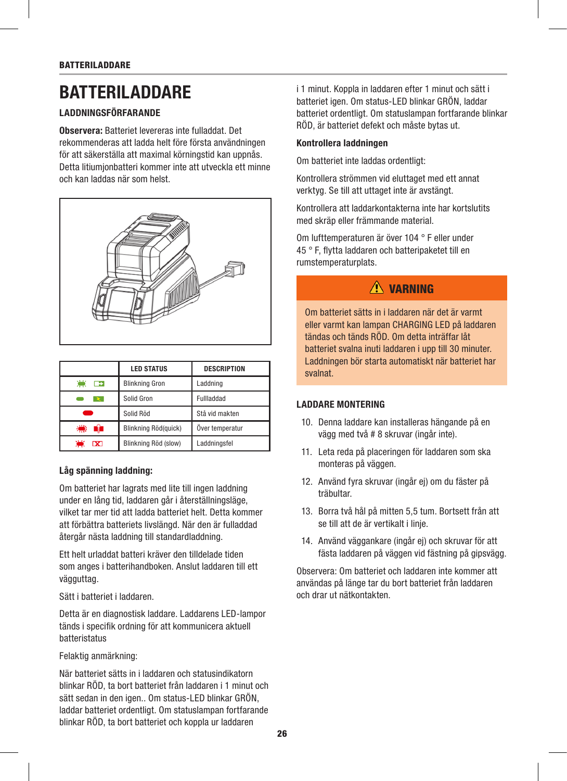# **BATTERILADDARE**

#### LADDNINGSFÖRFARANDE

Observera: Batteriet levereras inte fulladdat. Det rekommenderas att ladda helt före första användningen för att säkerställa att maximal körningstid kan uppnås. Detta litiumjonbatteri kommer inte att utveckla ett minne och kan laddas när som helst.



|                                 | <b>LED STATUS</b>     | <b>DESCRIPTION</b> |  |
|---------------------------------|-----------------------|--------------------|--|
| 凛<br>$\rightarrow$              | <b>Blinkning Gron</b> | Laddning           |  |
|                                 | Solid Gron            | Fullladdad         |  |
|                                 | Solid Röd             | Stå vid makten     |  |
| 纅<br>- 11                       | Blinkning Röd(quick)  | Över temperatur    |  |
| تناز<br>$\overline{\mathbf{x}}$ | Blinkning Röd (slow)  | Laddningsfel       |  |

#### Låg spänning laddning:

Om batteriet har lagrats med lite till ingen laddning under en lång tid, laddaren går i återställningsläge, vilket tar mer tid att ladda batteriet helt. Detta kommer att förbättra batteriets livslängd. När den är fulladdad återgår nästa laddning till standardladdning.

Ett helt urladdat batteri kräver den tilldelade tiden som anges i batterihandboken. Anslut laddaren till ett vägguttag.

Sätt i batteriet i laddaren.

Detta är en diagnostisk laddare. Laddarens LED-lampor tänds i specifik ordning för att kommunicera aktuell batteristatus

Felaktig anmärkning:

När batteriet sätts in i laddaren och statusindikatorn blinkar RÖD, ta bort batteriet från laddaren i 1 minut och sätt sedan in den igen.. Om status-LED blinkar GRÖN, laddar batteriet ordentligt. Om statuslampan fortfarande blinkar RÖD, ta bort batteriet och koppla ur laddaren

i 1 minut. Koppla in laddaren efter 1 minut och sätt i batteriet igen. Om status-LED blinkar GRÖN, laddar batteriet ordentligt. Om statuslampan fortfarande blinkar RÖD, är batteriet defekt och måste bytas ut.

#### Kontrollera laddningen

Om batteriet inte laddas ordentligt:

Kontrollera strömmen vid eluttaget med ett annat verktyg. Se till att uttaget inte är avstängt.

Kontrollera att laddarkontakterna inte har kortslutits med skräp eller främmande material.

Om lufttemperaturen är över 104 ° F eller under 45 ° F, flytta laddaren och batteripaketet till en rumstemperaturplats.

# $\triangle$  varning

Om batteriet sätts in i laddaren när det är varmt eller varmt kan lampan CHARGING LED på laddaren tändas och tänds RÖD. Om detta inträffar låt batteriet svalna inuti laddaren i upp till 30 minuter. Laddningen bör starta automatiskt när batteriet har svalnat.

#### LADDARE MONTERING

- 10. Denna laddare kan installeras hängande på en vägg med två # 8 skruvar (ingår inte).
- 11. Leta reda på placeringen för laddaren som ska monteras på väggen.
- 12. Använd fyra skruvar (ingår ej) om du fäster på träbultar.
- 13. Borra två hål på mitten 5,5 tum. Bortsett från att se till att de är vertikalt i linje.
- 14. Använd väggankare (ingår ej) och skruvar för att fästa laddaren på väggen vid fästning på gipsvägg.

Observera: Om batteriet och laddaren inte kommer att användas på länge tar du bort batteriet från laddaren och drar ut nätkontakten.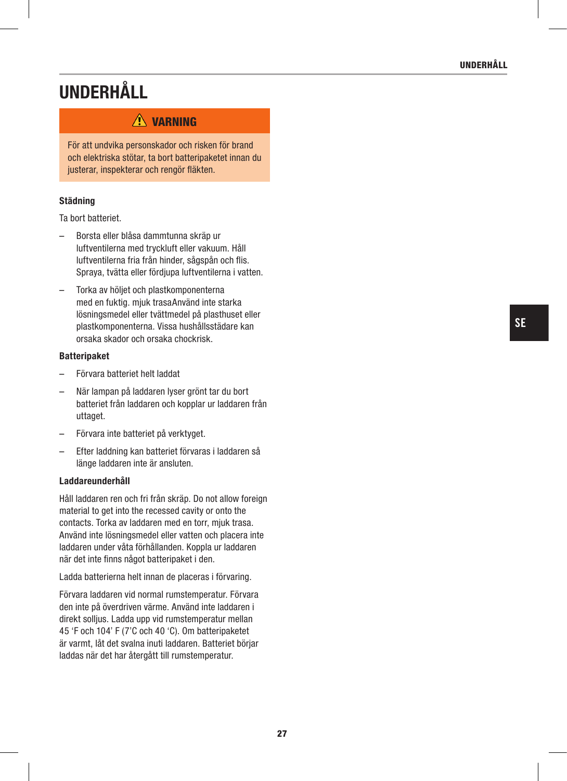# UNDERHÅLL

### **A** VARNING

För att undvika personskador och risken för brand och elektriska stötar, ta bort batteripaketet innan du justerar, inspekterar och rengör fläkten.

#### Städning

Ta bort batteriet.

- Borsta eller blåsa dammtunna skräp ur luftventilerna med tryckluft eller vakuum. Håll luftventilerna fria från hinder, sågspån och flis. Spraya, tvätta eller fördjupa luftventilerna i vatten.
- Torka av höljet och plastkomponenterna med en fuktig. mjuk trasaAnvänd inte starka lösningsmedel eller tvättmedel på plasthuset eller plastkomponenterna. Vissa hushållsstädare kan orsaka skador och orsaka chockrisk.

#### Batteripaket

- Förvara batteriet helt laddat
- När lampan på laddaren lyser grönt tar du bort batteriet från laddaren och kopplar ur laddaren från uttaget.
- Förvara inte batteriet på verktyget.
- Efter laddning kan batteriet förvaras i laddaren så länge laddaren inte är ansluten.

#### Laddareunderhåll

Håll laddaren ren och fri från skräp. Do not allow foreign material to get into the recessed cavity or onto the contacts. Torka av laddaren med en torr, mjuk trasa. Använd inte lösningsmedel eller vatten och placera inte laddaren under våta förhållanden. Koppla ur laddaren när det inte finns något batteripaket i den.

Ladda batterierna helt innan de placeras i förvaring.

Förvara laddaren vid normal rumstemperatur. Förvara den inte på överdriven värme. Använd inte laddaren i direkt solljus. Ladda upp vid rumstemperatur mellan 45 'F och 104' F (7'C och 40 'C). Om batteripaketet är varmt, låt det svalna inuti laddaren. Batteriet börjar laddas när det har återgått till rumstemperatur.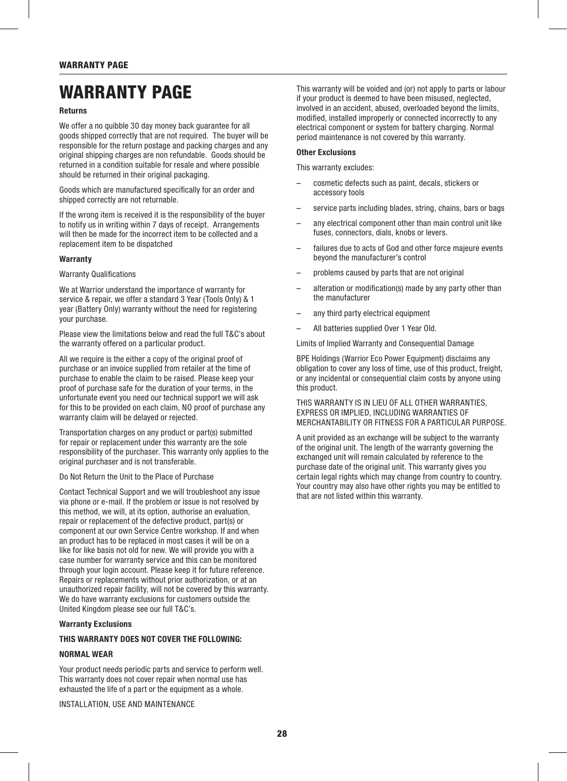# WARRANTY PAGE

#### Returns

We offer a no quibble 30 day money back quarantee for all goods shipped correctly that are not required. The buyer will be responsible for the return postage and packing charges and any original shipping charges are non refundable. Goods should be returned in a condition suitable for resale and where possible should be returned in their original packaging.

Goods which are manufactured specifically for an order and shipped correctly are not returnable.

If the wrong item is received it is the responsibility of the buyer to notify us in writing within 7 days of receipt. Arrangements will then be made for the incorrect item to be collected and a replacement item to be dispatched

#### **Warranty**

#### Warranty Qualifications

We at Warrior understand the importance of warranty for service & repair, we offer a standard 3 Year (Tools Only) & 1 year (Battery Only) warranty without the need for registering your purchase.

Please view the limitations below and read the full T&C's about the warranty offered on a particular product.

All we require is the either a copy of the original proof of purchase or an invoice supplied from retailer at the time of purchase to enable the claim to be raised. Please keep your proof of purchase safe for the duration of your terms, in the unfortunate event you need our technical support we will ask for this to be provided on each claim, NO proof of purchase any warranty claim will be delayed or rejected.

Transportation charges on any product or part(s) submitted for repair or replacement under this warranty are the sole responsibility of the purchaser. This warranty only applies to the original purchaser and is not transferable.

#### Do Not Return the Unit to the Place of Purchase

Contact Technical Support and we will troubleshoot any issue via phone or e-mail. If the problem or issue is not resolved by this method, we will, at its option, authorise an evaluation, repair or replacement of the defective product, part(s) or component at our own Service Centre workshop. If and when an product has to be replaced in most cases it will be on a like for like basis not old for new. We will provide you with a case number for warranty service and this can be monitored through your login account. Please keep it for future reference. Repairs or replacements without prior authorization, or at an unauthorized repair facility, will not be covered by this warranty. We do have warranty exclusions for customers outside the United Kingdom please see our full T&C's.

#### Warranty Exclusions

#### THIS WARRANTY DOES NOT COVER THE FOLLOWING:

#### NORMAL WEAR

Your product needs periodic parts and service to perform well. This warranty does not cover repair when normal use has exhausted the life of a part or the equipment as a whole.

INSTALLATION, USE AND MAINTENANCE

This warranty will be voided and (or) not apply to parts or labour if your product is deemed to have been misused, neglected, involved in an accident, abused, overloaded beyond the limits, modified, installed improperly or connected incorrectly to any electrical component or system for battery charging. Normal period maintenance is not covered by this warranty.

#### Other Exclusions

This warranty excludes:

- cosmetic defects such as paint, decals, stickers or accessory tools
- service parts including blades, string, chains, bars or bags
- any electrical component other than main control unit like fuses, connectors, dials, knobs or levers.
- failures due to acts of God and other force majeure events beyond the manufacturer's control
- problems caused by parts that are not original
- alteration or modification(s) made by any party other than the manufacturer
- any third party electrical equipment
- All batteries supplied Over 1 Year Old.

Limits of Implied Warranty and Consequential Damage

BPE Holdings (Warrior Eco Power Equipment) disclaims any obligation to cover any loss of time, use of this product, freight, or any incidental or consequential claim costs by anyone using this product.

THIS WARRANTY IS IN LIEU OF ALL OTHER WARRANTIES, EXPRESS OR IMPLIED, INCLUDING WARRANTIES OF MERCHANTABILITY OR FITNESS FOR A PARTICULAR PURPOSE.

A unit provided as an exchange will be subject to the warranty of the original unit. The length of the warranty governing the exchanged unit will remain calculated by reference to the purchase date of the original unit. This warranty gives you certain legal rights which may change from country to country. Your country may also have other rights you may be entitled to that are not listed within this warranty.